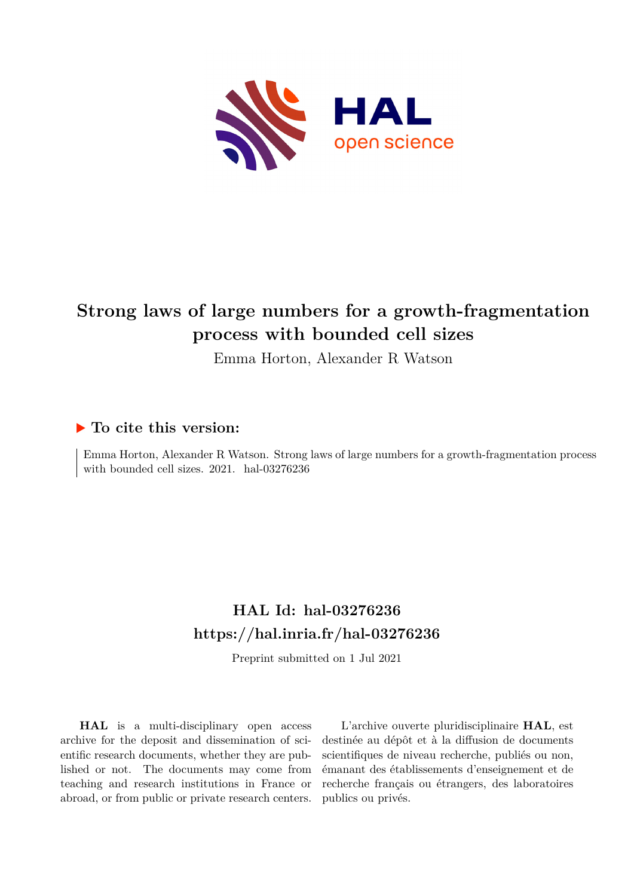

# **Strong laws of large numbers for a growth-fragmentation process with bounded cell sizes**

Emma Horton, Alexander R Watson

## **To cite this version:**

Emma Horton, Alexander R Watson. Strong laws of large numbers for a growth-fragmentation process with bounded cell sizes.  $2021.$  hal- $03276236$ 

## **HAL Id: hal-03276236 <https://hal.inria.fr/hal-03276236>**

Preprint submitted on 1 Jul 2021

**HAL** is a multi-disciplinary open access archive for the deposit and dissemination of scientific research documents, whether they are published or not. The documents may come from teaching and research institutions in France or abroad, or from public or private research centers.

L'archive ouverte pluridisciplinaire **HAL**, est destinée au dépôt et à la diffusion de documents scientifiques de niveau recherche, publiés ou non, émanant des établissements d'enseignement et de recherche français ou étrangers, des laboratoires publics ou privés.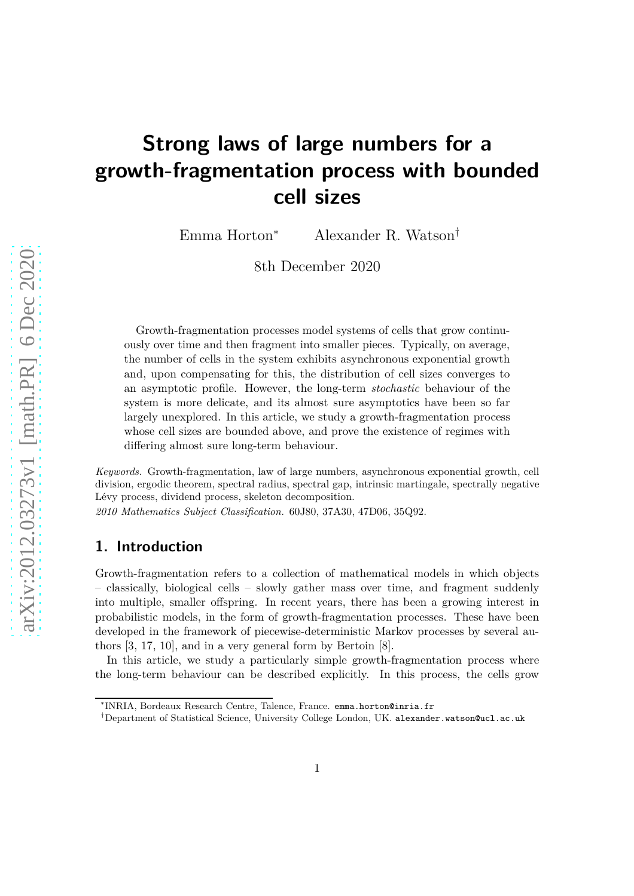# **Strong laws of large numbers for a growth-fragmentation process with bounded cell sizes**

Emma Horton<sup>∗</sup> Alexander R. Watson†

8th December 2020

Growth-fragmentation processes model systems of cells that grow continuously over time and then fragment into smaller pieces. Typically, on average, the number of cells in the system exhibits asynchronous exponential growth and, upon compensating for this, the distribution of cell sizes converges to an asymptotic profile. However, the long-term *stochastic* behaviour of the system is more delicate, and its almost sure asymptotics have been so far largely unexplored. In this article, we study a growth-fragmentation process whose cell sizes are bounded above, and prove the existence of regimes with differing almost sure long-term behaviour.

*Keywords.* Growth-fragmentation, law of large numbers, asynchronous exponential growth, cell division, ergodic theorem, spectral radius, spectral gap, intrinsic martingale, spectrally negative Lévy process, dividend process, skeleton decomposition. *2010 Mathematics Subject Classification.* 60J80, 37A30, 47D06, 35Q92.

## **1. Introduction**

Growth-fragmentation refers to a collection of mathematical models in which objects – classically, biological cells – slowly gather mass over time, and fragment suddenly into multiple, smaller offspring. In recent years, there has been a growing interest in probabilistic models, in the form of growth-fragmentation processes. These have been developed in the framework of piecewise-deterministic Markov processes by several authors [3, 17, 10], and in a very general form by Bertoin [8].

In this article, we study a particularly simple growth-fragmentation process where the long-term behaviour can be described explicitly. In this process, the cells grow

<sup>∗</sup> INRIA, Bordeaux Research Centre, Talence, France. [emma.horton@inria.fr](mailto:emma.horton@inria.fr)

<sup>†</sup>Department of Statistical Science, University College London, UK. [alexander.watson@ucl.ac.uk](mailto:alexander.watson@ucl.ac.uk)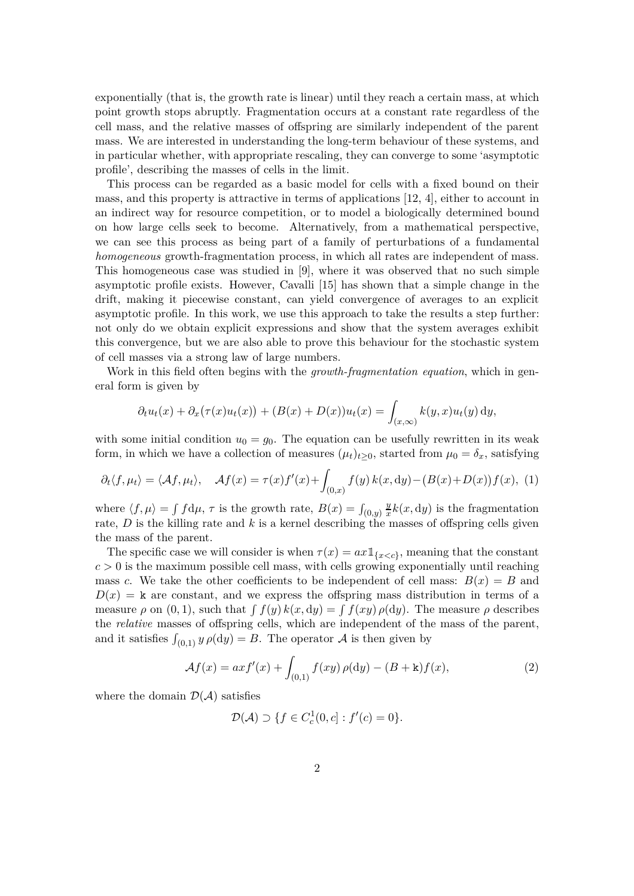exponentially (that is, the growth rate is linear) until they reach a certain mass, at which point growth stops abruptly. Fragmentation occurs at a constant rate regardless of the cell mass, and the relative masses of offspring are similarly independent of the parent mass. We are interested in understanding the long-term behaviour of these systems, and in particular whether, with appropriate rescaling, they can converge to some 'asymptotic profile', describing the masses of cells in the limit.

This process can be regarded as a basic model for cells with a fixed bound on their mass, and this property is attractive in terms of applications [12, 4], either to account in an indirect way for resource competition, or to model a biologically determined bound on how large cells seek to become. Alternatively, from a mathematical perspective, we can see this process as being part of a family of perturbations of a fundamental *homogeneous* growth-fragmentation process, in which all rates are independent of mass. This homogeneous case was studied in [9], where it was observed that no such simple asymptotic profile exists. However, Cavalli [15] has shown that a simple change in the drift, making it piecewise constant, can yield convergence of averages to an explicit asymptotic profile. In this work, we use this approach to take the results a step further: not only do we obtain explicit expressions and show that the system averages exhibit this convergence, but we are also able to prove this behaviour for the stochastic system of cell masses via a strong law of large numbers.

Work in this field often begins with the *growth-fragmentation equation*, which in general form is given by

$$
\partial_t u_t(x) + \partial_x (\tau(x)u_t(x)) + (B(x) + D(x))u_t(x) = \int_{(x,\infty)} k(y,x)u_t(y) dy,
$$

with some initial condition  $u_0 = g_0$ . The equation can be usefully rewritten in its weak form, in which we have a collection of measures  $(\mu_t)_{t\geq 0}$ , started from  $\mu_0 = \delta_x$ , satisfying

$$
\partial_t \langle f, \mu_t \rangle = \langle Af, \mu_t \rangle, \quad Af(x) = \tau(x) f'(x) + \int_{(0,x)} f(y) k(x, dy) - (B(x) + D(x)) f(x), \tag{1}
$$

where  $\langle f, \mu \rangle = \int f d\mu$ ,  $\tau$  is the growth rate,  $B(x) = \int_{(0,y)}$ *y*  $\frac{y}{x}k(x, dy)$  is the fragmentation rate,  $D$  is the killing rate and  $k$  is a kernel describing the masses of offspring cells given the mass of the parent.

The specific case we will consider is when  $\tau(x) = ax \mathbb{1}_{\{x < c\}}$ , meaning that the constant  $c > 0$  is the maximum possible cell mass, with cells growing exponentially until reaching mass *c*. We take the other coefficients to be independent of cell mass:  $B(x) = B$  and  $D(x) = k$  are constant, and we express the offspring mass distribution in terms of a measure  $\rho$  on  $(0, 1)$ , such that  $\int f(y) k(x, dy) = \int f(xy) \rho(dy)$ . The measure  $\rho$  describes the *relative* masses of offspring cells, which are independent of the mass of the parent, and it satisfies  $\int_{(0,1)} y \rho(dy) = B$ . The operator A is then given by

$$
\mathcal{A}f(x) = axf'(x) + \int_{(0,1)} f(xy)\,\rho(\mathrm{d}y) - (B + \mathbf{k})f(x),\tag{2}
$$

where the domain  $\mathcal{D}(\mathcal{A})$  satisfies

$$
\mathcal{D}(\mathcal{A}) \supset \{ f \in C_c^1(0, c] : f'(c) = 0 \}.
$$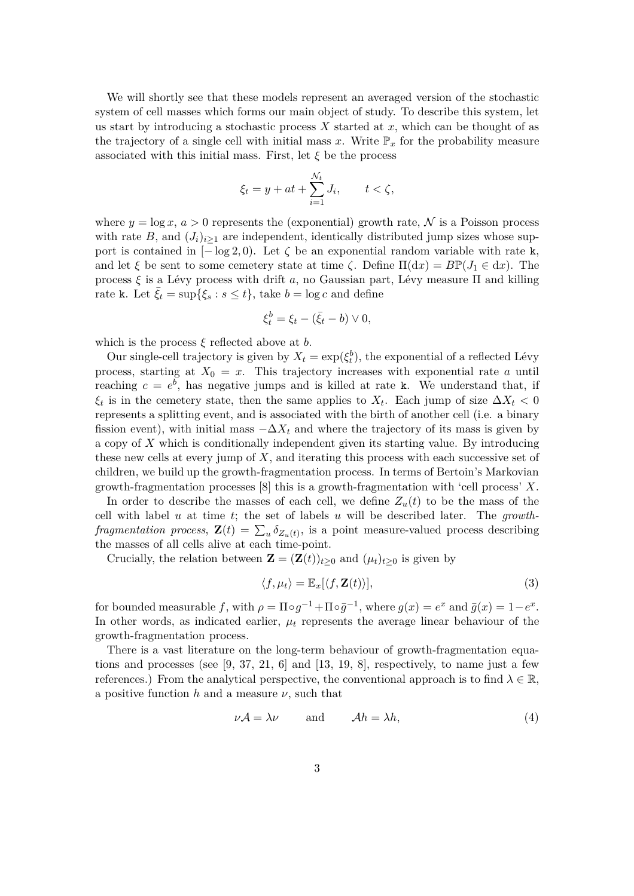We will shortly see that these models represent an averaged version of the stochastic system of cell masses which forms our main object of study. To describe this system, let us start by introducing a stochastic process *X* started at *x*, which can be thought of as the trajectory of a single cell with initial mass x. Write  $\mathbb{P}_x$  for the probability measure associated with this initial mass. First, let  $\xi$  be the process

$$
\xi_t = y + at + \sum_{i=1}^{N_t} J_i, \qquad t < \zeta,
$$

where  $y = \log x$ ,  $a > 0$  represents the (exponential) growth rate, N is a Poisson process with rate  $B$ , and  $(J_i)_{i>1}$  are independent, identically distributed jump sizes whose support is contained in  $[-\log 2, 0]$ . Let  $\zeta$  be an exponential random variable with rate k, and let  $\xi$  be sent to some cemetery state at time  $\zeta$ . Define  $\Pi(dx) = B\mathbb{P}(J_1 \in dx)$ . The process  $\xi$  is a Lévy process with drift *a*, no Gaussian part, Lévy measure  $\Pi$  and killing rate k. Let  $\xi_t = \sup{\{\xi_s : s \le t\}}$ , take  $b = \log c$  and define

$$
\xi_t^b = \xi_t - (\bar{\xi}_t - b) \vee 0,
$$

which is the process *ξ* reflected above at *b*.

Our single-cell trajectory is given by  $X_t = \exp(\xi_t^b)$ , the exponential of a reflected Lévy process, starting at  $X_0 = x$ . This trajectory increases with exponential rate *a* until reaching  $c = e^b$ , has negative jumps and is killed at rate k. We understand that, if  $\xi_t$  is in the cemetery state, then the same applies to  $X_t$ . Each jump of size  $\Delta X_t < 0$ represents a splitting event, and is associated with the birth of another cell (i.e. a binary fission event), with initial mass  $-\Delta X_t$  and where the trajectory of its mass is given by a copy of *X* which is conditionally independent given its starting value. By introducing these new cells at every jump of *X*, and iterating this process with each successive set of children, we build up the growth-fragmentation process. In terms of Bertoin's Markovian growth-fragmentation processes [8] this is a growth-fragmentation with 'cell process' *X*.

In order to describe the masses of each cell, we define  $Z_u(t)$  to be the mass of the cell with label *u* at time *t*; the set of labels *u* will be described later. The *growthfragmentation process*,  $\mathbf{Z}(t) = \sum_{u} \delta_{Z_u(t)}$ , is a point measure-valued process describing the masses of all cells alive at each time-point.

Crucially, the relation between  $\mathbf{Z} = (\mathbf{Z}(t))_{t>0}$  and  $(\mu_t)_{t>0}$  is given by

$$
\langle f, \mu_t \rangle = \mathbb{E}_x[\langle f, \mathbf{Z}(t) \rangle],\tag{3}
$$

for bounded measurable *f*, with  $\rho = \Pi \circ g^{-1} + \Pi \circ \bar{g}^{-1}$ , where  $g(x) = e^x$  and  $\bar{g}(x) = 1 - e^x$ . In other words, as indicated earlier,  $\mu_t$  represents the average linear behaviour of the growth-fragmentation process.

There is a vast literature on the long-term behaviour of growth-fragmentation equations and processes (see  $[9, 37, 21, 6]$  and  $[13, 19, 8]$ , respectively, to name just a few references.) From the analytical perspective, the conventional approach is to find  $\lambda \in \mathbb{R}$ , a positive function *h* and a measure *ν*, such that

$$
\nu \mathcal{A} = \lambda \nu \qquad \text{and} \qquad \mathcal{A}h = \lambda h,\tag{4}
$$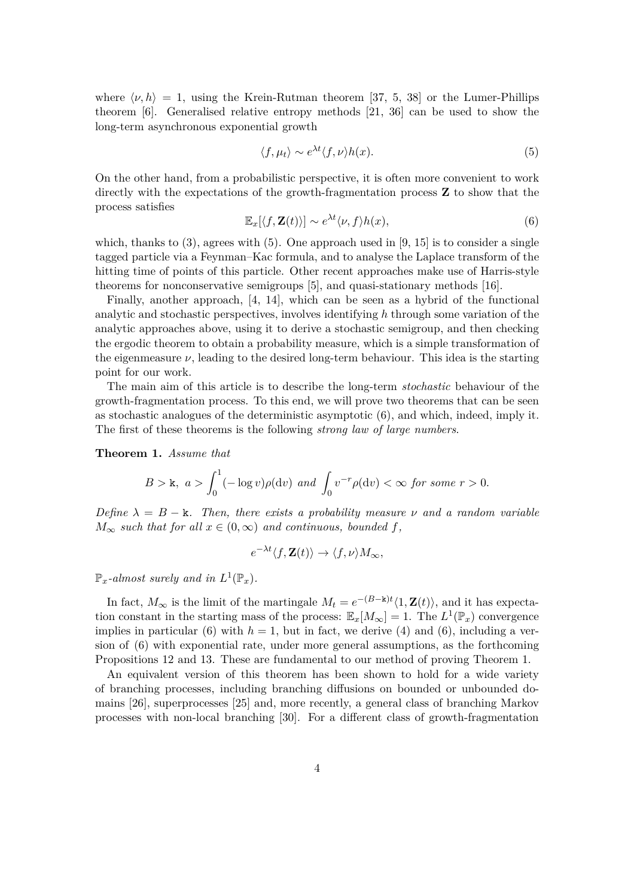where  $\langle \nu, h \rangle = 1$ , using the Krein-Rutman theorem [37, 5, 38] or the Lumer-Phillips theorem [6]. Generalised relative entropy methods [21, 36] can be used to show the long-term asynchronous exponential growth

$$
\langle f, \mu_t \rangle \sim e^{\lambda t} \langle f, \nu \rangle h(x). \tag{5}
$$

On the other hand, from a probabilistic perspective, it is often more convenient to work directly with the expectations of the growth-fragmentation process **Z** to show that the process satisfies

$$
\mathbb{E}_x[\langle f, \mathbf{Z}(t) \rangle] \sim e^{\lambda t} \langle \nu, f \rangle h(x), \tag{6}
$$

which, thanks to  $(3)$ , agrees with  $(5)$ . One approach used in  $[9, 15]$  is to consider a single tagged particle via a Feynman–Kac formula, and to analyse the Laplace transform of the hitting time of points of this particle. Other recent approaches make use of Harris-style theorems for nonconservative semigroups [5], and quasi-stationary methods [16].

Finally, another approach, [4, 14], which can be seen as a hybrid of the functional analytic and stochastic perspectives, involves identifying *h* through some variation of the analytic approaches above, using it to derive a stochastic semigroup, and then checking the ergodic theorem to obtain a probability measure, which is a simple transformation of the eigenmeasure  $\nu$ , leading to the desired long-term behaviour. This idea is the starting point for our work.

The main aim of this article is to describe the long-term *stochastic* behaviour of the growth-fragmentation process. To this end, we will prove two theorems that can be seen as stochastic analogues of the deterministic asymptotic (6), and which, indeed, imply it. The first of these theorems is the following *strong law of large numbers*.

#### **Theorem 1.** *Assume that*

$$
B > \mathsf{k}, \ a > \int_0^1 (-\log v)\rho(\mathrm{d}v) \ \text{and} \ \int_0 v^{-r} \rho(\mathrm{d}v) < \infty \ \text{for some} \ r > 0.
$$

*Define*  $\lambda = B - \mathbf{k}$ *. Then, there exists a probability measure*  $\nu$  *and a random variable*  $M_{\infty}$  *such that for all*  $x \in (0, \infty)$  *and continuous, bounded*  $f$ *,* 

$$
e^{-\lambda t}\langle f, \mathbf{Z}(t)\rangle \to \langle f, \nu\rangle M_{\infty},
$$

 $\mathbb{P}_x$ -almost surely and in  $L^1(\mathbb{P}_x)$ .

In fact,  $M_{\infty}$  is the limit of the martingale  $M_t = e^{-(B-\mathbf{k})t} \langle 1, \mathbf{Z}(t) \rangle$ , and it has expectation constant in the starting mass of the process:  $\mathbb{E}_x[M_\infty] = 1$ . The  $L^1(\mathbb{P}_x)$  convergence implies in particular (6) with  $h = 1$ , but in fact, we derive (4) and (6), including a version of (6) with exponential rate, under more general assumptions, as the forthcoming Propositions 12 and 13. These are fundamental to our method of proving Theorem 1.

An equivalent version of this theorem has been shown to hold for a wide variety of branching processes, including branching diffusions on bounded or unbounded domains [26], superprocesses [25] and, more recently, a general class of branching Markov processes with non-local branching [30]. For a different class of growth-fragmentation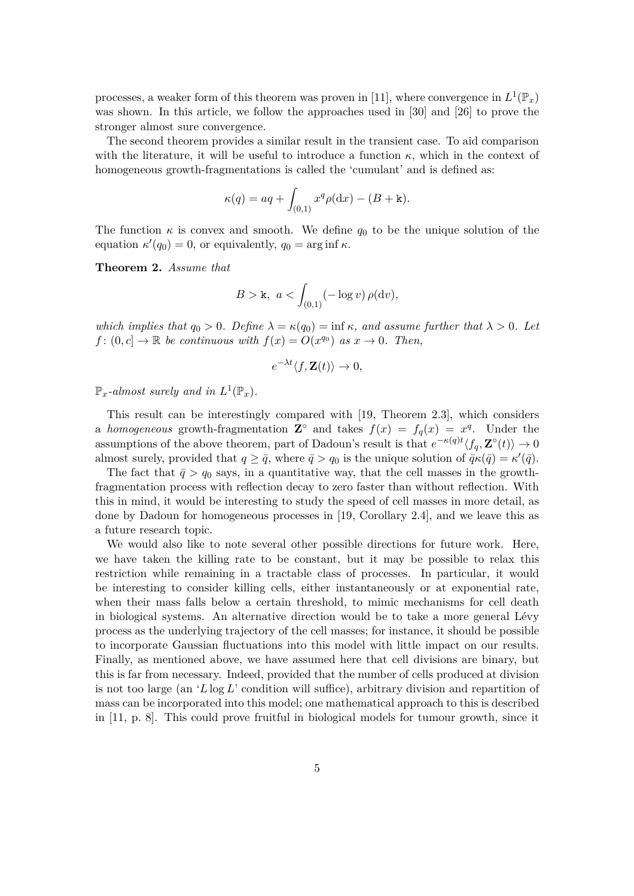processes, a weaker form of this theorem was proven in [11], where convergence in  $L^1(\mathbb{P}_x)$ was shown. In this article, we follow the approaches used in [30] and [26] to prove the stronger almost sure convergence.

The second theorem provides a similar result in the transient case. To aid comparison with the literature, it will be useful to introduce a function  $\kappa$ , which in the context of homogeneous growth-fragmentations is called the 'cumulant' and is defined as:

$$
\kappa(q) = aq + \int_{(0,1)} x^q \rho(\mathrm{d}x) - (B + \mathbf{k}).
$$

The function  $\kappa$  is convex and smooth. We define  $q_0$  to be the unique solution of the equation  $\kappa'(q_0) = 0$ , or equivalently,  $q_0 = \arg \inf \kappa$ .

**Theorem 2.** *Assume that*

$$
B > \mathsf{k}, \ a < \int_{(0,1)} (-\log v) \, \rho(\mathrm{d} v),
$$

*which implies that*  $q_0 > 0$ *. Define*  $\lambda = \kappa(q_0) = \inf \kappa$ *, and assume further that*  $\lambda > 0$ *. Let f* :  $(0, c] \rightarrow \mathbb{R}$  *be continuous with*  $f(x) = O(x^{q_0})$  *as*  $x \rightarrow 0$ *. Then,* 

$$
e^{-\lambda t} \langle f, \mathbf{Z}(t) \rangle \to 0,
$$

 $\mathbb{P}_x$ -almost surely and in  $L^1(\mathbb{P}_x)$ .

This result can be interestingly compared with [19, Theorem 2.3], which considers a *homogeneous* growth-fragmentation  $\mathbb{Z}^{\circ}$  and takes  $f(x) = f_q(x) = x^q$ . Under the  $\alpha$  assumptions of the above theorem, part of Dadoun's result is that  $e^{-\kappa(q)t}\langle f_q, \mathbf{Z}^\circ(t)\rangle \to 0$ almost surely, provided that  $q \ge \bar{q}$ , where  $\bar{q} > q_0$  is the unique solution of  $\bar{q}\kappa(\bar{q}) = \kappa'(\bar{q})$ .

The fact that  $\bar{q} > q_0$  says, in a quantitative way, that the cell masses in the growthfragmentation process with reflection decay to zero faster than without reflection. With this in mind, it would be interesting to study the speed of cell masses in more detail, as done by Dadoun for homogeneous processes in [19, Corollary 2.4], and we leave this as a future research topic.

We would also like to note several other possible directions for future work. Here, we have taken the killing rate to be constant, but it may be possible to relax this restriction while remaining in a tractable class of processes. In particular, it would be interesting to consider killing cells, either instantaneously or at exponential rate, when their mass falls below a certain threshold, to mimic mechanisms for cell death in biological systems. An alternative direction would be to take a more general Lévy process as the underlying trajectory of the cell masses; for instance, it should be possible to incorporate Gaussian fluctuations into this model with little impact on our results. Finally, as mentioned above, we have assumed here that cell divisions are binary, but this is far from necessary. Indeed, provided that the number of cells produced at division is not too large (an '*L*log *L*' condition will suffice), arbitrary division and repartition of mass can be incorporated into this model; one mathematical approach to this is described in [11, p. 8]. This could prove fruitful in biological models for tumour growth, since it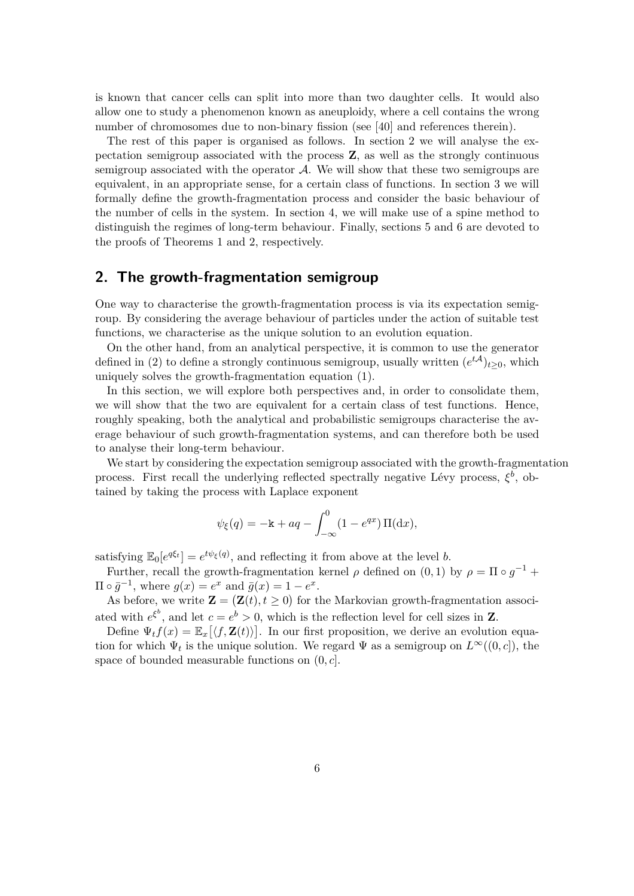is known that cancer cells can split into more than two daughter cells. It would also allow one to study a phenomenon known as aneuploidy, where a cell contains the wrong number of chromosomes due to non-binary fission (see [40] and references therein).

The rest of this paper is organised as follows. In section 2 we will analyse the expectation semigroup associated with the process **Z**, as well as the strongly continuous semigroup associated with the operator  $\mathcal{A}$ . We will show that these two semigroups are equivalent, in an appropriate sense, for a certain class of functions. In section 3 we will formally define the growth-fragmentation process and consider the basic behaviour of the number of cells in the system. In section 4, we will make use of a spine method to distinguish the regimes of long-term behaviour. Finally, sections 5 and 6 are devoted to the proofs of Theorems 1 and 2, respectively.

## **2. The growth-fragmentation semigroup**

One way to characterise the growth-fragmentation process is via its expectation semigroup. By considering the average behaviour of particles under the action of suitable test functions, we characterise as the unique solution to an evolution equation.

On the other hand, from an analytical perspective, it is common to use the generator defined in (2) to define a strongly continuous semigroup, usually written  $(e^{t\mathcal{A}})_{t\geq0}$ , which uniquely solves the growth-fragmentation equation (1).

In this section, we will explore both perspectives and, in order to consolidate them, we will show that the two are equivalent for a certain class of test functions. Hence, roughly speaking, both the analytical and probabilistic semigroups characterise the average behaviour of such growth-fragmentation systems, and can therefore both be used to analyse their long-term behaviour.

We start by considering the expectation semigroup associated with the growth-fragmentation process. First recall the underlying reflected spectrally negative Lévy process,  $\xi^b$ , obtained by taking the process with Laplace exponent

$$
\psi_{\xi}(q) = -\mathbf{k} + aq - \int_{-\infty}^{0} (1 - e^{qx}) \Pi(dx),
$$

satisfying  $\mathbb{E}_0[e^{q\xi_t}] = e^{t\psi_{\xi}(q)}$ , and reflecting it from above at the level *b*.

Further, recall the growth-fragmentation kernel  $\rho$  defined on  $(0,1)$  by  $\rho = \Pi \circ g^{-1} +$  $\Pi \circ \bar{g}^{-1}$ , where  $g(x) = e^x$  and  $\bar{g}(x) = 1 - e^x$ .

As before, we write  $\mathbf{Z} = (\mathbf{Z}(t), t \ge 0)$  for the Markovian growth-fragmentation associated with  $e^{\xi^b}$ , and let  $c = e^b > 0$ , which is the reflection level for cell sizes in **Z**.

Define  $\Psi_t f(x) = \mathbb{E}_x[\langle f, \mathbf{Z}(t) \rangle]$ . In our first proposition, we derive an evolution equation for which  $\Psi_t$  is the unique solution. We regard  $\Psi$  as a semigroup on  $L^{\infty}((0, c])$ , the space of bounded measurable functions on (0*, c*].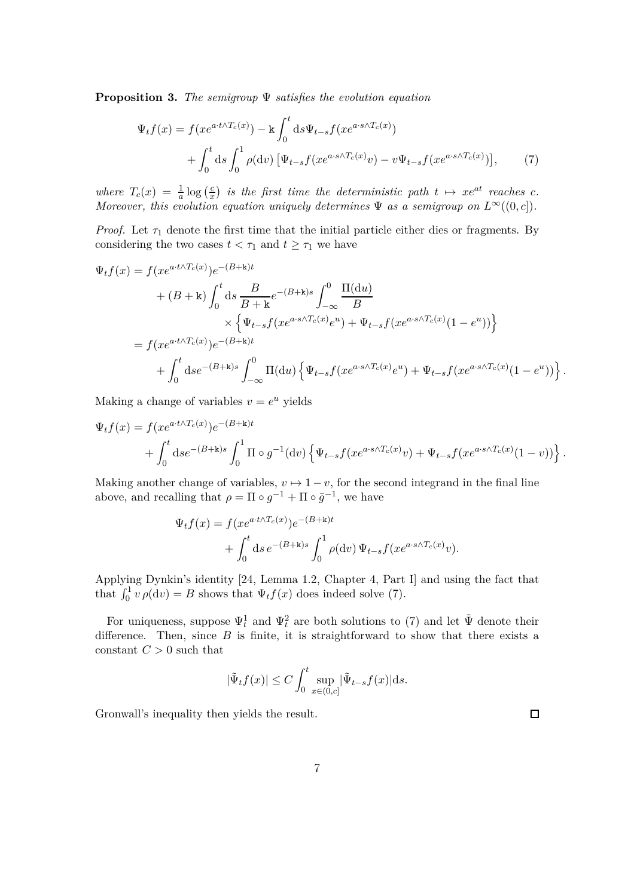**Proposition 3.** *The semigroup* Ψ *satisfies the evolution equation*

$$
\Psi_t f(x) = f(x e^{a \cdot t \wedge T_c(x)}) - k \int_0^t ds \Psi_{t-s} f(x e^{a \cdot s \wedge T_c(x)}) + \int_0^t ds \int_0^1 \rho(\mathrm{d}v) \left[ \Psi_{t-s} f(x e^{a \cdot s \wedge T_c(x)}) - v \Psi_{t-s} f(x e^{a \cdot s \wedge T_c(x)}) \right], \tag{7}
$$

*where*  $T_c(x) = \frac{1}{a} \log \left( \frac{c}{x} \right)$  $\frac{c}{x}$ ) is the first time the deterministic path  $t \mapsto xe^{at}$  reaches  $c$ . *Moreover, this evolution equation uniquely determines*  $\Psi$  *as a semigroup on*  $L^{\infty}((0, c])$ *.* 

*Proof.* Let  $\tau_1$  denote the first time that the initial particle either dies or fragments. By considering the two cases  $t < \tau_1$  and  $t \geq \tau_1$  we have

$$
\Psi_t f(x) = f(xe^{a \cdot t \wedge T_c(x)})e^{-(B+\mathbf{k})t}
$$
\n
$$
+ (B+\mathbf{k}) \int_0^t ds \frac{B}{B+\mathbf{k}} e^{-(B+\mathbf{k})s} \int_{-\infty}^0 \frac{\Pi(\mathrm{d}u)}{B}
$$
\n
$$
\times \left\{ \Psi_{t-s} f(xe^{a \cdot s \wedge T_c(x)})e^{u} + \Psi_{t-s} f(xe^{a \cdot s \wedge T_c(x)}(1-e^u)) \right\}
$$
\n
$$
= f(xe^{a \cdot t \wedge T_c(x)})e^{-(B+\mathbf{k})t}
$$
\n
$$
+ \int_0^t ds e^{-(B+\mathbf{k})s} \int_{-\infty}^0 \Pi(\mathrm{d}u) \left\{ \Psi_{t-s} f(xe^{a \cdot s \wedge T_c(x)})e^u + \Psi_{t-s} f(xe^{a \cdot s \wedge T_c(x)}(1-e^u)) \right\}
$$

Making a change of variables  $v = e^u$  yields

$$
\Psi_t f(x) = f(x e^{a \cdot t \wedge T_c(x)}) e^{-(B + \mathbf{k})t} \n+ \int_0^t \mathrm{d} s e^{-(B + \mathbf{k})s} \int_0^1 \Pi \circ g^{-1}(\mathrm{d} v) \left\{ \Psi_{t-s} f(x e^{a \cdot s \wedge T_c(x)} v) + \Psi_{t-s} f(x e^{a \cdot s \wedge T_c(x)} (1 - v)) \right\}.
$$

Making another change of variables,  $v \mapsto 1 - v$ , for the second integrand in the final line above, and recalling that  $\rho = \Pi \circ g^{-1} + \Pi \circ \bar{g}^{-1}$ , we have

$$
\Psi_t f(x) = f(xe^{a \cdot t \wedge T_c(x)})e^{-(B+\mathbf{k})t}
$$
  
+ 
$$
\int_0^t ds e^{-(B+\mathbf{k})s} \int_0^1 \rho(\mathrm{d}v) \Psi_{t-s} f(xe^{a \cdot s \wedge T_c(x)}v).
$$

Applying Dynkin's identity [24, Lemma 1.2, Chapter 4, Part I] and using the fact that that  $\int_0^1 v \rho(\mathrm{d}v) = B$  shows that  $\Psi_t f(x)$  does indeed solve (7).

For uniqueness, suppose  $\Psi_t^1$  and  $\Psi_t^2$  are both solutions to (7) and let  $\tilde{\Psi}$  denote their difference. Then, since *B* is finite, it is straightforward to show that there exists a constant  $C > 0$  such that

$$
|\tilde{\Psi}_t f(x)| \le C \int_0^t \sup_{x \in (0,c]} |\tilde{\Psi}_{t-s} f(x)| ds.
$$

Gronwall's inequality then yields the result.

*.*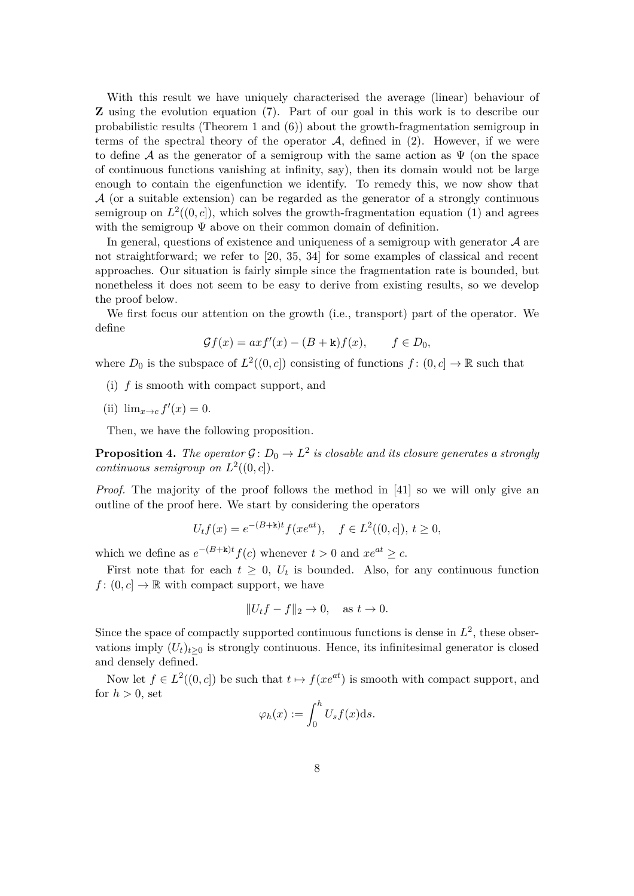With this result we have uniquely characterised the average (linear) behaviour of **Z** using the evolution equation (7). Part of our goal in this work is to describe our probabilistic results (Theorem 1 and (6)) about the growth-fragmentation semigroup in terms of the spectral theory of the operator  $A$ , defined in (2). However, if we were to define A as the generator of a semigroup with the same action as  $\Psi$  (on the space of continuous functions vanishing at infinity, say), then its domain would not be large enough to contain the eigenfunction we identify. To remedy this, we now show that  $A$  (or a suitable extension) can be regarded as the generator of a strongly continuous semigroup on  $L^2((0, c])$ , which solves the growth-fragmentation equation (1) and agrees with the semigroup Ψ above on their common domain of definition.

In general, questions of existence and uniqueness of a semigroup with generator  $A$  are not straightforward; we refer to [20, 35, 34] for some examples of classical and recent approaches. Our situation is fairly simple since the fragmentation rate is bounded, but nonetheless it does not seem to be easy to derive from existing results, so we develop the proof below.

We first focus our attention on the growth (i.e., transport) part of the operator. We define

$$
\mathcal{G}f(x) = axf'(x) - (B + \kappa)f(x), \qquad f \in D_0,
$$

where  $D_0$  is the subspace of  $L^2((0, c])$  consisting of functions  $f : (0, c] \to \mathbb{R}$  such that

- (i) *f* is smooth with compact support, and
- (ii)  $\lim_{x \to c} f'(x) = 0.$

Then, we have the following proposition.

**Proposition 4.** The operator  $\mathcal{G} \colon D_0 \to L^2$  is closable and its closure generates a strongly *continuous semigroup on*  $L^2((0, c])$ *.* 

*Proof.* The majority of the proof follows the method in [41] so we will only give an outline of the proof here. We start by considering the operators

$$
U_t f(x) = e^{-(B+\mathbf{k})t} f(xe^{at}), \quad f \in L^2((0, c]), \ t \ge 0,
$$

which we define as  $e^{-(B+k)t}f(c)$  whenever  $t > 0$  and  $xe^{at} \geq c$ .

First note that for each  $t \geq 0$ ,  $U_t$  is bounded. Also, for any continuous function  $f: (0, c] \to \mathbb{R}$  with compact support, we have

$$
||U_t f - f||_2 \to 0, \quad \text{as } t \to 0.
$$

Since the space of compactly supported continuous functions is dense in  $L^2$ , these observations imply  $(U_t)_{t>0}$  is strongly continuous. Hence, its infinitesimal generator is closed and densely defined.

Now let  $f \in L^2((0, c])$  be such that  $t \mapsto f(xe^{at})$  is smooth with compact support, and for  $h > 0$ , set

$$
\varphi_h(x) := \int_0^h U_s f(x) \mathrm{d} s.
$$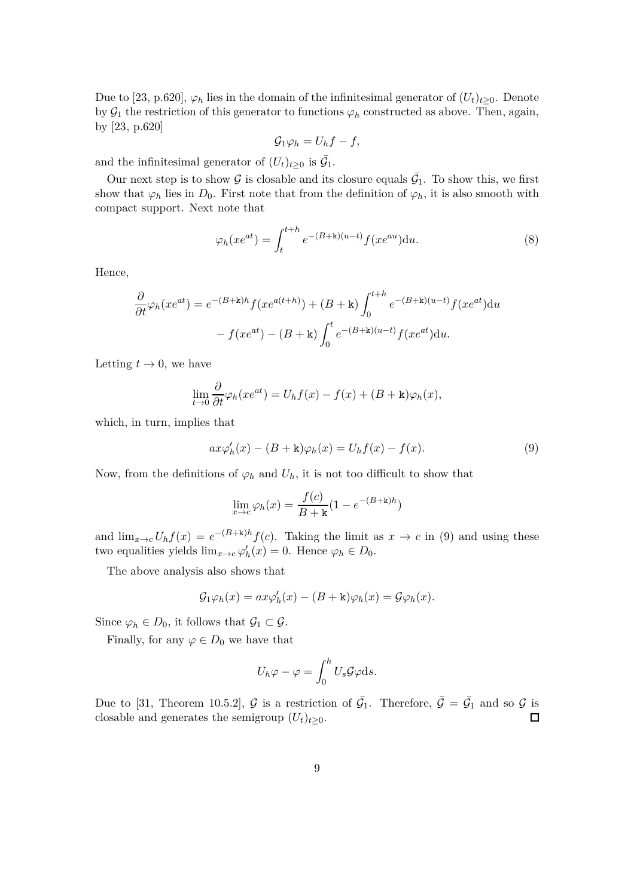Due to [23, p.620],  $\varphi_h$  lies in the domain of the infinitesimal generator of  $(U_t)_{t\geq0}$ . Denote by  $\mathcal{G}_1$  the restriction of this generator to functions  $\varphi_h$  constructed as above. Then, again, by [23, p.620]

$$
\mathcal{G}_1\varphi_h=U_hf-f,
$$

and the infinitesimal generator of  $(U_t)_{t\geq 0}$  is  $\overline{\mathcal{G}}_1$ .

Our next step is to show G is closable and its closure equals  $\bar{G}_1$ . To show this, we first show that  $\varphi_h$  lies in  $D_0$ . First note that from the definition of  $\varphi_h$ , it is also smooth with compact support. Next note that

$$
\varphi_h(xe^{at}) = \int_t^{t+h} e^{-(B+\mathbf{k})(u-t)} f(xe^{au}) \mathrm{d}u. \tag{8}
$$

Hence,

$$
\frac{\partial}{\partial t}\varphi_h(xe^{at}) = e^{-(B+\mathbf{k})h}f(xe^{a(t+h)}) + (B+\mathbf{k})\int_0^{t+h} e^{-(B+\mathbf{k})(u-t)}f(xe^{at})du
$$

$$
-f(xe^{at}) - (B+\mathbf{k})\int_0^t e^{-(B+\mathbf{k})(u-t)}f(xe^{at})du.
$$

Letting  $t \to 0$ , we have

$$
\lim_{t \to 0} \frac{\partial}{\partial t} \varphi_h(xe^{at}) = U_h f(x) - f(x) + (B + \mathbf{k})\varphi_h(x),
$$

which, in turn, implies that

$$
ax\varphi'_h(x) - (B + \mathbf{k})\varphi_h(x) = U_h f(x) - f(x). \tag{9}
$$

Now, from the definitions of  $\varphi_h$  and  $U_h$ , it is not too difficult to show that

$$
\lim_{x \to c} \varphi_h(x) = \frac{f(c)}{B + \mathbf{k}} (1 - e^{-(B + \mathbf{k})h})
$$

and  $\lim_{x\to c} U_h f(x) = e^{-(B+k)h} f(c)$ . Taking the limit as  $x \to c$  in (9) and using these two equalities yields  $\lim_{x \to c} \varphi'_h(x) = 0$ . Hence  $\varphi_h \in D_0$ .

The above analysis also shows that

$$
\mathcal{G}_1\varphi_h(x) = ax\varphi'_h(x) - (B + \mathbf{k})\varphi_h(x) = \mathcal{G}\varphi_h(x).
$$

Since  $\varphi_h \in D_0$ , it follows that  $\mathcal{G}_1 \subset \mathcal{G}$ .

Finally, for any  $\varphi \in D_0$  we have that

$$
U_h \varphi - \varphi = \int_0^h U_s \mathcal{G} \varphi \mathrm{d} s.
$$

Due to [31, Theorem 10.5.2],  $\mathcal G$  is a restriction of  $\bar{\mathcal G}_1$ . Therefore,  $\bar{\mathcal G} = \bar{\mathcal G}_1$  and so  $\mathcal G$  is closable and generates the semigroup  $(U_t)_{t\geq0}$ .  $\Box$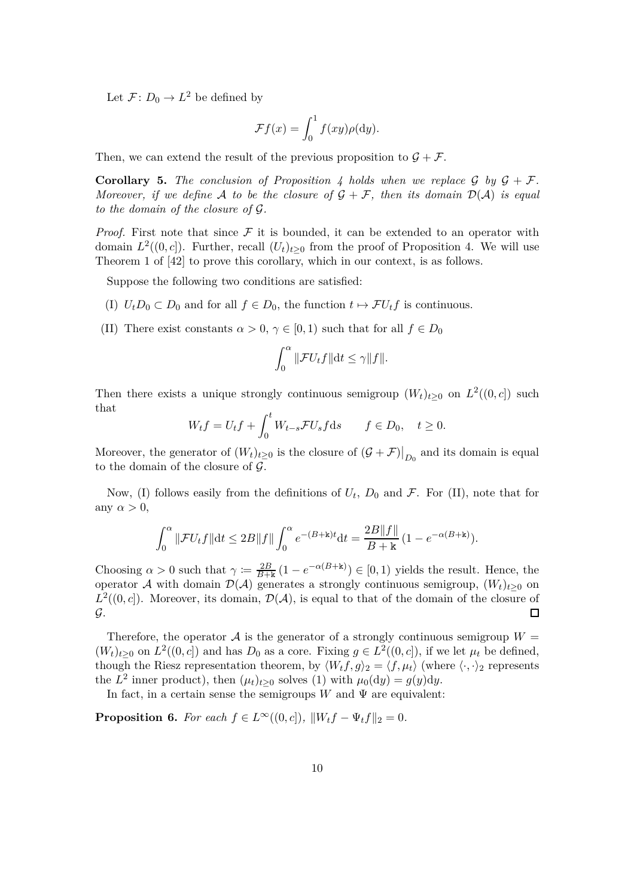Let  $\mathcal{F} \colon D_0 \to L^2$  be defined by

$$
\mathcal{F}f(x) = \int_0^1 f(xy)\rho(\mathrm{d}y).
$$

Then, we can extend the result of the previous proposition to  $\mathcal{G} + \mathcal{F}$ .

**Corollary 5.** The conclusion of Proposition 4 holds when we replace  $\mathcal{G}$  by  $\mathcal{G} + \mathcal{F}$ . *Moreover, if we define* A *to be the closure of*  $\mathcal{G} + \mathcal{F}$ *, then its domain*  $\mathcal{D}(\mathcal{A})$  *is equal to the domain of the closure of* G*.*

*Proof.* First note that since  $\mathcal F$  it is bounded, it can be extended to an operator with domain  $L^2((0, c])$ . Further, recall  $(U_t)_{t\geq 0}$  from the proof of Proposition 4. We will use Theorem 1 of [42] to prove this corollary, which in our context, is as follows.

Suppose the following two conditions are satisfied:

- (I)  $U_t D_0 \subset D_0$  and for all  $f \in D_0$ , the function  $t \mapsto \mathcal{F}U_t f$  is continuous.
- (II) There exist constants  $\alpha > 0$ ,  $\gamma \in [0, 1)$  such that for all  $f \in D_0$

$$
\int_0^\alpha \|\mathcal{F}U_t f\| \mathrm{d} t \le \gamma \|f\|.
$$

Then there exists a unique strongly continuous semigroup  $(W_t)_{t\geq0}$  on  $L^2((0, c])$  such that

$$
W_t f = U_t f + \int_0^t W_{t-s} \mathcal{F} U_s f \, ds \qquad f \in D_0, \quad t \ge 0.
$$

Moreover, the generator of  $(W_t)_{t\geq 0}$  is the closure of  $(\mathcal{G} + \mathcal{F})|_{D_0}$  and its domain is equal to the domain of the closure of  $\mathcal{G}$ .

Now, (I) follows easily from the definitions of  $U_t$ ,  $D_0$  and  $\mathcal{F}$ . For (II), note that for any  $\alpha > 0$ ,

$$
\int_0^{\alpha} \|\mathcal{F}U_t f\| \mathrm{d}t \le 2B \|f\| \int_0^{\alpha} e^{-(B+\mathbf{k})t} \mathrm{d}t = \frac{2B \|f\|}{B+\mathbf{k}} (1 - e^{-\alpha(B+\mathbf{k})}).
$$

Choosing  $\alpha > 0$  such that  $\gamma := \frac{2B}{B+k} (1 - e^{-\alpha(B+k)}) \in [0,1)$  yields the result. Hence, the operator A with domain  $\mathcal{D}(\mathcal{A})$  generates a strongly continuous semigroup,  $(W_t)_{t\geq0}$  on  $L^2((0, c])$ . Moreover, its domain,  $\mathcal{D}(\mathcal{A})$ , is equal to that of the domain of the closure of  $\mathcal{G}.$  $\Box$ 

Therefore, the operator  $A$  is the generator of a strongly continuous semigroup  $W =$  $(W_t)_{t\geq0}$  on  $L^2((0, c])$  and has  $D_0$  as a core. Fixing  $g \in L^2((0, c])$ , if we let  $\mu_t$  be defined, though the Riesz representation theorem, by  $\langle W_t f, g \rangle_2 = \langle f, \mu_t \rangle$  (where  $\langle \cdot, \cdot \rangle_2$  represents the  $L^2$  inner product), then  $(\mu_t)_{t\geq 0}$  solves (1) with  $\mu_0(\mathrm{d}y) = g(y)\mathrm{d}y$ .

In fact, in a certain sense the semigroups  $W$  and  $\Psi$  are equivalent:

**Proposition 6.** *For each*  $f \in L^{\infty}((0, c])$ *,*  $||W_t f - \Psi_t f||_2 = 0$ *.*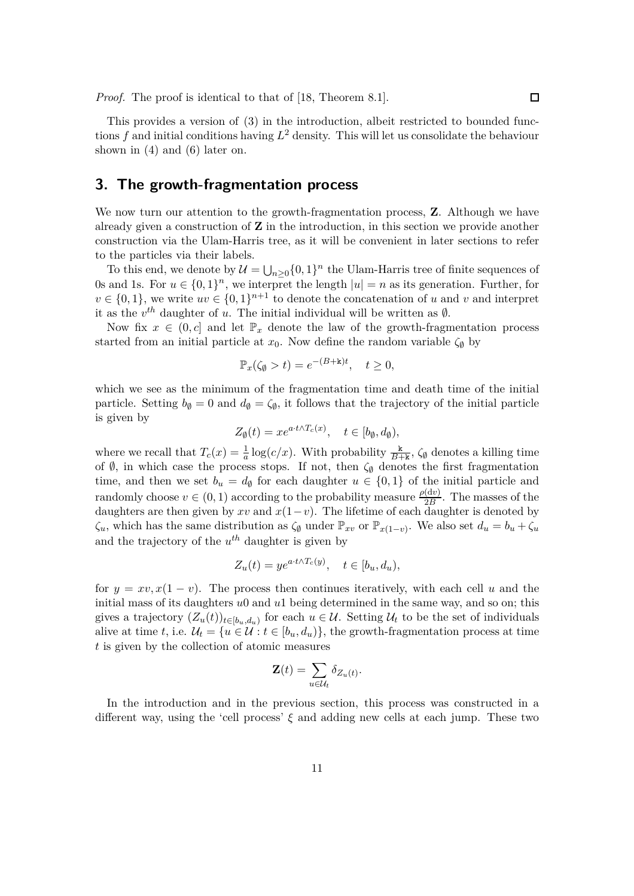*Proof.* The proof is identical to that of [18, Theorem 8.1].

This provides a version of (3) in the introduction, albeit restricted to bounded functions *f* and initial conditions having *L* <sup>2</sup> density. This will let us consolidate the behaviour shown in (4) and (6) later on.

## **3. The growth-fragmentation process**

We now turn our attention to the growth-fragmentation process, **Z**. Although we have already given a construction of **Z** in the introduction, in this section we provide another construction via the Ulam-Harris tree, as it will be convenient in later sections to refer to the particles via their labels.

To this end, we denote by  $\mathcal{U} = \bigcup_{n \geq 0} \{0, 1\}^n$  the Ulam-Harris tree of finite sequences of 0s and 1s. For  $u \in \{0,1\}^n$ , we interpret the length  $|u|=n$  as its generation. Further, for  $v \in \{0,1\}$ , we write  $uv \in \{0,1\}^{n+1}$  to denote the concatenation of *u* and *v* and interpret it as the  $v^{th}$  daughter of *u*. The initial individual will be written as  $\emptyset$ .

Now fix  $x \in (0, c]$  and let  $\mathbb{P}_x$  denote the law of the growth-fragmentation process started from an initial particle at  $x_0$ . Now define the random variable  $\zeta_{\emptyset}$  by

$$
\mathbb{P}_x(\zeta_{\emptyset} > t) = e^{-(B + \mathbf{k})t}, \quad t \ge 0,
$$

which we see as the minimum of the fragmentation time and death time of the initial particle. Setting  $b_{\emptyset} = 0$  and  $d_{\emptyset} = \zeta_{\emptyset}$ , it follows that the trajectory of the initial particle is given by

$$
Z_{\emptyset}(t) = x e^{a \cdot t \wedge T_c(x)}, \quad t \in [b_{\emptyset}, d_{\emptyset}),
$$

where we recall that  $T_c(x) = \frac{1}{a} \log(c/x)$ . With probability  $\frac{k}{B+k}$ ,  $\zeta_{\emptyset}$  denotes a killing time of  $\emptyset$ , in which case the process stops. If not, then  $\zeta_{\emptyset}$  denotes the first fragmentation time, and then we set  $b_u = d_{\emptyset}$  for each daughter  $u \in \{0,1\}$  of the initial particle and randomly choose  $v \in (0, 1)$  according to the probability measure  $\frac{\rho(dv)}{2B}$ . The masses of the daughters are then given by  $xv$  and  $x(1-v)$ . The lifetime of each daughter is denoted by  $\zeta_u$ , which has the same distribution as  $\zeta_{\emptyset}$  under  $\mathbb{P}_{xv}$  or  $\mathbb{P}_{x(1-v)}$ . We also set  $d_u = b_u + \zeta_u$ and the trajectory of the *u th* daughter is given by

$$
Z_u(t) = y e^{a \cdot t \wedge T_c(y)}, \quad t \in [b_u, d_u),
$$

for  $y = xv, x(1 - v)$ . The process then continues iteratively, with each cell *u* and the initial mass of its daughters *u*0 and *u*1 being determined in the same way, and so on; this gives a trajectory  $(Z_u(t))_{t\in[b_u,d_u)}$  for each  $u \in \mathcal{U}$ . Setting  $\mathcal{U}_t$  to be the set of individuals alive at time *t*, i.e.  $\mathcal{U}_t = \{u \in \mathcal{U} : t \in [b_u, d_u)\}\$ , the growth-fragmentation process at time *t* is given by the collection of atomic measures

$$
\mathbf{Z}(t) = \sum_{u \in \mathcal{U}_t} \delta_{Z_u(t)}.
$$

In the introduction and in the previous section, this process was constructed in a different way, using the 'cell process' *ξ* and adding new cells at each jump. These two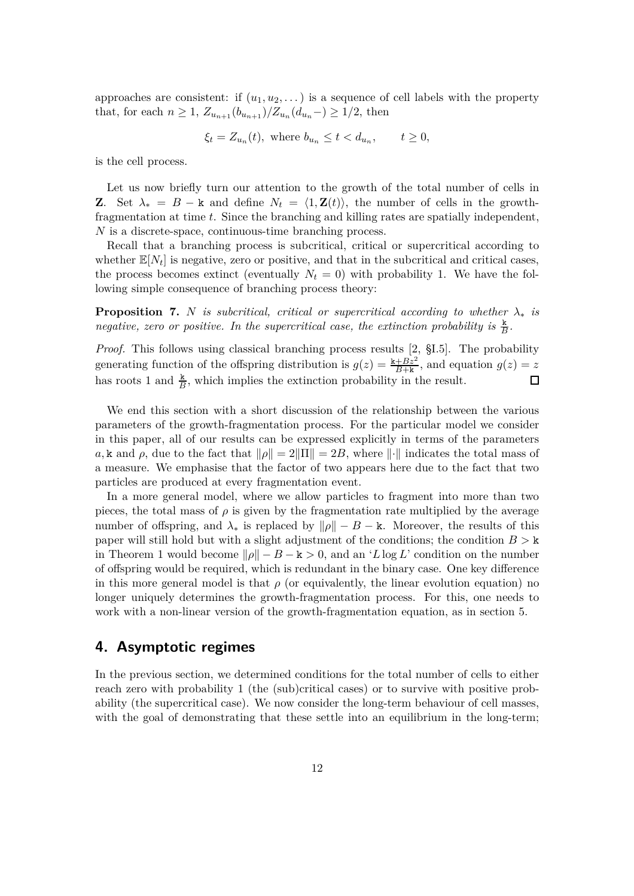approaches are consistent: if  $(u_1, u_2, \ldots)$  is a sequence of cell labels with the property that, for each  $n \geq 1$ ,  $Z_{u_{n+1}}(b_{u_{n+1}})/Z_{u_n}(d_{u_n}) \geq 1/2$ , then

$$
\xi_t = Z_{u_n}(t), \text{ where } b_{u_n} \le t < d_{u_n}, \qquad t \ge 0,
$$

is the cell process.

Let us now briefly turn our attention to the growth of the total number of cells in **Z**. Set  $\lambda_* = B - \mathbf{k}$  and define  $N_t = \langle 1, \mathbf{Z}(t) \rangle$ , the number of cells in the growthfragmentation at time *t*. Since the branching and killing rates are spatially independent, *N* is a discrete-space, continuous-time branching process.

Recall that a branching process is subcritical, critical or supercritical according to whether  $\mathbb{E}[N_t]$  is negative, zero or positive, and that in the subcritical and critical cases, the process becomes extinct (eventually  $N_t = 0$ ) with probability 1. We have the following simple consequence of branching process theory:

**Proposition 7.** *N is subcritical, critical or supercritical according to whether*  $\lambda_*$  *is negative, zero or positive. In the supercritical case, the extinction probability is*  $\frac{k}{B}$ .

*Proof.* This follows using classical branching process results [2, §I.5]. The probability generating function of the offspring distribution is  $g(z) = \frac{k + Bz^2}{B+k}$ , and equation  $g(z) = z$ has roots 1 and  $\frac{k}{B}$ , which implies the extinction probability in the result.  $\Box$ 

We end this section with a short discussion of the relationship between the various parameters of the growth-fragmentation process. For the particular model we consider in this paper, all of our results can be expressed explicitly in terms of the parameters *a*, k and *ρ*, due to the fact that  $||\rho|| = 2||\Pi|| = 2B$ , where  $||\cdot||$  indicates the total mass of a measure. We emphasise that the factor of two appears here due to the fact that two particles are produced at every fragmentation event.

In a more general model, where we allow particles to fragment into more than two pieces, the total mass of  $\rho$  is given by the fragmentation rate multiplied by the average number of offspring, and  $\lambda_*$  is replaced by  $\|\rho\| - B - \kappa$ . Moreover, the results of this paper will still hold but with a slight adjustment of the conditions; the condition  $B > k$ in Theorem 1 would become  $\|\rho\| - B - k > 0$ , and an '*L* log *L*' condition on the number of offspring would be required, which is redundant in the binary case. One key difference in this more general model is that  $\rho$  (or equivalently, the linear evolution equation) no longer uniquely determines the growth-fragmentation process. For this, one needs to work with a non-linear version of the growth-fragmentation equation, as in section 5.

## **4. Asymptotic regimes**

In the previous section, we determined conditions for the total number of cells to either reach zero with probability 1 (the (sub)critical cases) or to survive with positive probability (the supercritical case). We now consider the long-term behaviour of cell masses, with the goal of demonstrating that these settle into an equilibrium in the long-term;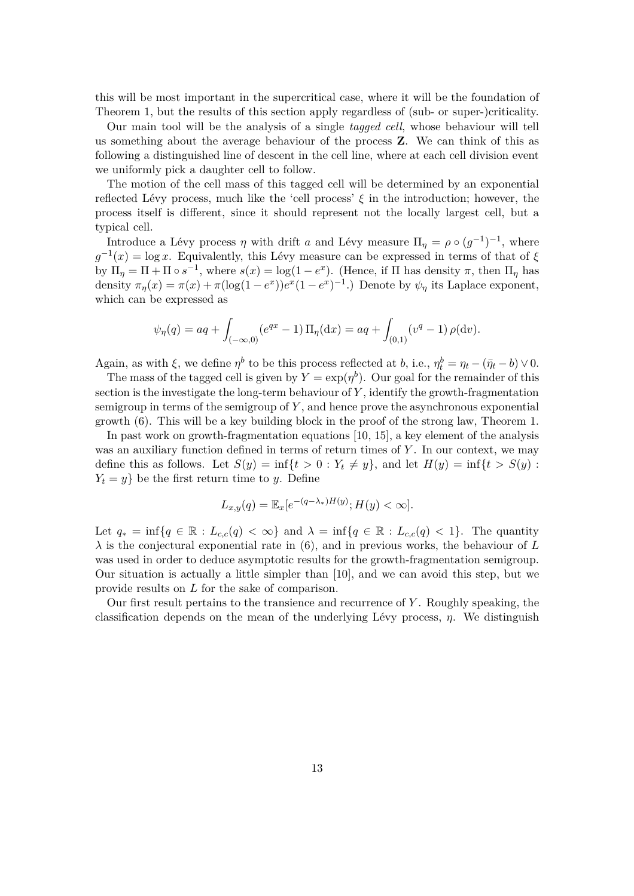this will be most important in the supercritical case, where it will be the foundation of Theorem 1, but the results of this section apply regardless of (sub- or super-)criticality.

Our main tool will be the analysis of a single *tagged cell*, whose behaviour will tell us something about the average behaviour of the process **Z**. We can think of this as following a distinguished line of descent in the cell line, where at each cell division event we uniformly pick a daughter cell to follow.

The motion of the cell mass of this tagged cell will be determined by an exponential reflected Lévy process, much like the 'cell process' *ξ* in the introduction; however, the process itself is different, since it should represent not the locally largest cell, but a typical cell.

Introduce a Lévy process  $\eta$  with drift *a* and Lévy measure  $\Pi_{\eta} = \rho \circ (g^{-1})^{-1}$ , where  $g^{-1}(x) = \log x$ . Equivalently, this Lévy measure can be expressed in terms of that of  $\xi$ by  $\Pi_{\eta} = \Pi + \Pi \circ s^{-1}$ , where  $s(x) = \log(1 - e^x)$ . (Hence, if  $\Pi$  has density  $\pi$ , then  $\Pi_{\eta}$  has density  $\pi_{\eta}(x) = \pi(x) + \pi(\log(1 - e^x))e^x(1 - e^x)^{-1}$ .) Denote by  $\psi_{\eta}$  its Laplace exponent, which can be expressed as

$$
\psi_{\eta}(q) = aq + \int_{(-\infty,0)} (e^{qx} - 1) \Pi_{\eta}(\mathrm{d}x) = aq + \int_{(0,1)} (v^q - 1) \rho(\mathrm{d}v).
$$

Again, as with  $\xi$ , we define  $\eta^b$  to be this process reflected at *b*, i.e.,  $\eta_t^b = \eta_t - (\bar{\eta}_t - b) \vee 0$ .

The mass of the tagged cell is given by  $Y = \exp(\eta^b)$ . Our goal for the remainder of this section is the investigate the long-term behaviour of *Y* , identify the growth-fragmentation semigroup in terms of the semigroup of *Y* , and hence prove the asynchronous exponential growth (6). This will be a key building block in the proof of the strong law, Theorem 1.

In past work on growth-fragmentation equations [10, 15], a key element of the analysis was an auxiliary function defined in terms of return times of *Y* . In our context, we may define this as follows. Let  $S(y) = \inf\{t > 0 : Y_t \neq y\}$ , and let  $H(y) = \inf\{t > S(y) : Y_t \neq y\}$  $Y_t = y$  be the first return time to *y*. Define

$$
L_{x,y}(q) = \mathbb{E}_x[e^{-(q-\lambda_*)H(y)}; H(y) < \infty].
$$

Let  $q_* = \inf\{q \in \mathbb{R} : L_{c,c}(q) < \infty\}$  and  $\lambda = \inf\{q \in \mathbb{R} : L_{c,c}(q) < 1\}$ . The quantity  $\lambda$  is the conjectural exponential rate in (6), and in previous works, the behaviour of *L* was used in order to deduce asymptotic results for the growth-fragmentation semigroup. Our situation is actually a little simpler than [10], and we can avoid this step, but we provide results on *L* for the sake of comparison.

Our first result pertains to the transience and recurrence of *Y* . Roughly speaking, the classification depends on the mean of the underlying Lévy process, *η*. We distinguish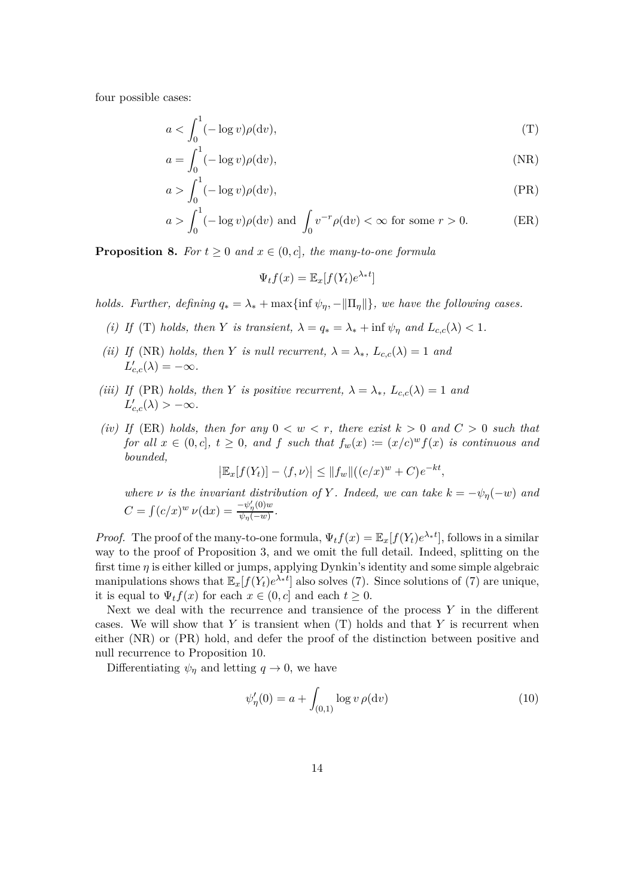four possible cases:

$$
a < \int_0^1 (-\log v)\rho(\mathrm{d}v),\tag{T}
$$

$$
a = \int_0^1 (-\log v)\rho(\mathrm{d}v),\tag{NR}
$$

$$
a > \int_0^1 (-\log v)\rho(\mathrm{d}v),\tag{PR}
$$

$$
a > \int_0^1 (-\log v)\rho(\mathrm{d}v) \text{ and } \int_0 v^{-r}\rho(\mathrm{d}v) < \infty \text{ for some } r > 0.
$$
 (ER)

**Proposition 8.** *For*  $t \geq 0$  *and*  $x \in (0, c]$ *, the many-to-one formula* 

$$
\Psi_t f(x) = \mathbb{E}_x[f(Y_t)e^{\lambda_* t}]
$$

*holds. Further, defining*  $q_* = \lambda_* + \max\{\inf \psi_{\eta}, -\|\Pi_{\eta}\| \}$ *, we have the following cases.* 

- *(i)* If (T) *holds, then Y is transient,*  $\lambda = q_* = \lambda_* + \inf \psi_\eta$  *and*  $L_{c,c}(\lambda) < 1$ *.*
- *(ii)* If (NR) *holds, then Y is null recurrent,*  $\lambda = \lambda_*, L_{c,c}(\lambda) = 1$  *and*  $L'_{c,c}(\lambda) = -\infty$ *.*
- *(iii)* If (PR) holds, then *Y is positive recurrent*,  $\lambda = \lambda_*, L_{c,c}(\lambda) = 1$  and  $L'_{c,c}(\lambda) > -\infty$ *.*
- *(iv)* If (ER) *holds, then for any*  $0 < w < r$ *, there exist*  $k > 0$  *and*  $C > 0$  *such that for all*  $x \in (0, c], t \ge 0$ *, and*  $f$  *such that*  $f_w(x) := (x/c)^w f(x)$  *is continuous and bounded,*

 $|\mathbb{E}_x[f(Y_t)] - \langle f, \nu \rangle| \le ||f_w||((c/x)^w + C)e^{-kt},$ 

*where*  $\nu$  *is the invariant distribution of*  $Y$ *. Indeed, we can take*  $k = -\psi_{\eta}(-w)$  *and*  $C = \int (c/x)^w \nu(\mathrm{d}x) = \frac{-\psi_{\eta}'(0)w}{\psi_{\eta}(-w)}$  $\frac{\varphi_\eta(\upsilon)w}{\psi_\eta(-w)}$ .

*Proof.* The proof of the many-to-one formula,  $\Psi_t f(x) = \mathbb{E}_x[f(Y_t)e^{\lambda_* t}]$ , follows in a similar way to the proof of Proposition 3, and we omit the full detail. Indeed, splitting on the first time *η* is either killed or jumps, applying Dynkin's identity and some simple algebraic manipulations shows that  $\mathbb{E}_x[f(Y_t)e^{\lambda_* t}]$  also solves (7). Since solutions of (7) are unique, it is equal to  $\Psi_t f(x)$  for each  $x \in (0, c]$  and each  $t \geq 0$ .

Next we deal with the recurrence and transience of the process *Y* in the different cases. We will show that *Y* is transient when (T) holds and that *Y* is recurrent when either (NR) or (PR) hold, and defer the proof of the distinction between positive and null recurrence to Proposition 10.

Differentiating  $\psi_{\eta}$  and letting  $q \to 0$ , we have

$$
\psi_{\eta}'(0) = a + \int_{(0,1)} \log v \,\rho(\mathrm{d}v) \tag{10}
$$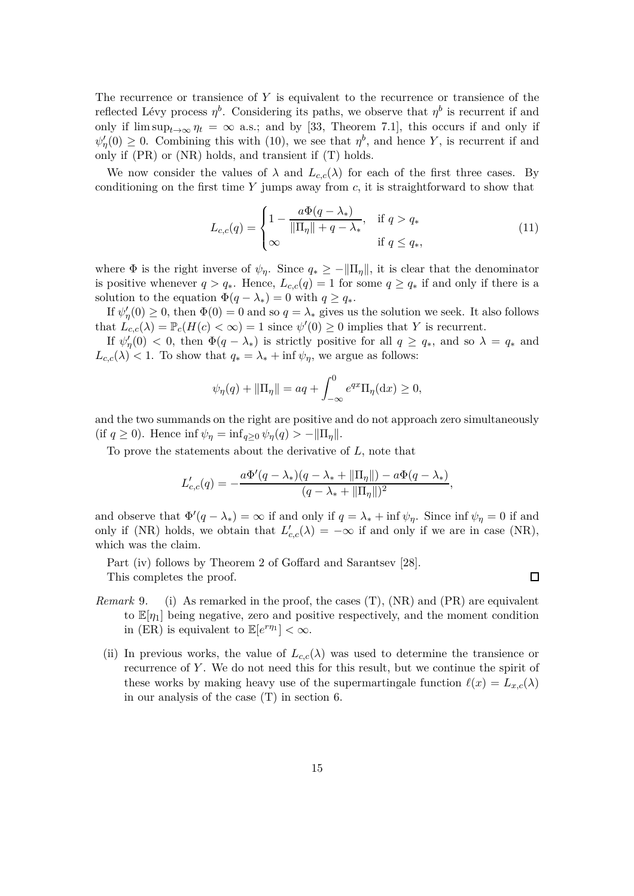The recurrence or transience of *Y* is equivalent to the recurrence or transience of the reflected Lévy process  $\eta^b$ . Considering its paths, we observe that  $\eta^b$  is recurrent if and only if  $\limsup_{t\to\infty}$   $\eta_t = \infty$  a.s.; and by [33, Theorem 7.1], this occurs if and only if  $\psi_{\eta}'(0) \geq 0$ . Combining this with (10), we see that  $\eta^{b}$ , and hence *Y*, is recurrent if and only if (PR) or (NR) holds, and transient if (T) holds.

We now consider the values of  $\lambda$  and  $L_{c,c}(\lambda)$  for each of the first three cases. By conditioning on the first time *Y* jumps away from *c*, it is straightforward to show that

$$
L_{c,c}(q) = \begin{cases} 1 - \frac{a\Phi(q - \lambda_*)}{\|\Pi_\eta\| + q - \lambda_*}, & \text{if } q > q_* \\ \infty & \text{if } q \le q_*, \end{cases}
$$
(11)

where  $\Phi$  is the right inverse of  $\psi_{\eta}$ . Since  $q_* \geq -\|\Pi_{\eta}\|$ , it is clear that the denominator is positive whenever  $q > q_*$ . Hence,  $L_{c,c}(q) = 1$  for some  $q \geq q_*$  if and only if there is a solution to the equation  $\Phi(q - \lambda_*) = 0$  with  $q \geq q_*$ .

If  $\psi_{\eta}'(0) \geq 0$ , then  $\Phi(0) = 0$  and so  $q = \lambda_*$  gives us the solution we seek. It also follows that  $L_{c,c}(\lambda) = \mathbb{P}_c(H(c) < \infty) = 1$  since  $\psi'(0) \geq 0$  implies that *Y* is recurrent.

If  $\psi_{\eta}'(0) < 0$ , then  $\Phi(q - \lambda_*)$  is strictly positive for all  $q \geq q_*$ , and so  $\lambda = q_*$  and  $L_{c,c}(\lambda) < 1$ . To show that  $q_* = \lambda_* + \inf \psi_{\eta}$ , we argue as follows:

$$
\psi_{\eta}(q) + ||\Pi_{\eta}|| = aq + \int_{-\infty}^{0} e^{qx} \Pi_{\eta}(\mathrm{d}x) \ge 0,
$$

and the two summands on the right are positive and do not approach zero simultaneously (if  $q \ge 0$ ). Hence inf  $\psi_{\eta} = \inf_{q \ge 0} \psi_{\eta}(q) > -\|\Pi_{\eta}\|$ .

To prove the statements about the derivative of *L*, note that

$$
L'_{c,c}(q) = -\frac{a\Phi'(q - \lambda_*)(q - \lambda_* + ||\Pi_\eta||) - a\Phi(q - \lambda_*)}{(q - \lambda_* + ||\Pi_\eta||)^2},
$$

and observe that  $\Phi'(q - \lambda_*) = \infty$  if and only if  $q = \lambda_* + \inf \psi_{\eta}$ . Since  $\inf \psi_{\eta} = 0$  if and only if (NR) holds, we obtain that  $L'_{c,c}(\lambda) = -\infty$  if and only if we are in case (NR), which was the claim.

Part (iv) follows by Theorem 2 of Goffard and Sarantsev [28]. This completes the proof.

*Remark* 9. (i) As remarked in the proof, the cases (T), (NR) and (PR) are equivalent to  $\mathbb{E}[\eta_1]$  being negative, zero and positive respectively, and the moment condition in (ER) is equivalent to  $\mathbb{E}[e^{r\eta_1}] < \infty$ .

 $\Box$ 

(ii) In previous works, the value of  $L_{c,c}(\lambda)$  was used to determine the transience or recurrence of *Y* . We do not need this for this result, but we continue the spirit of these works by making heavy use of the supermartingale function  $\ell(x) = L_{x,c}(\lambda)$ in our analysis of the case (T) in section 6.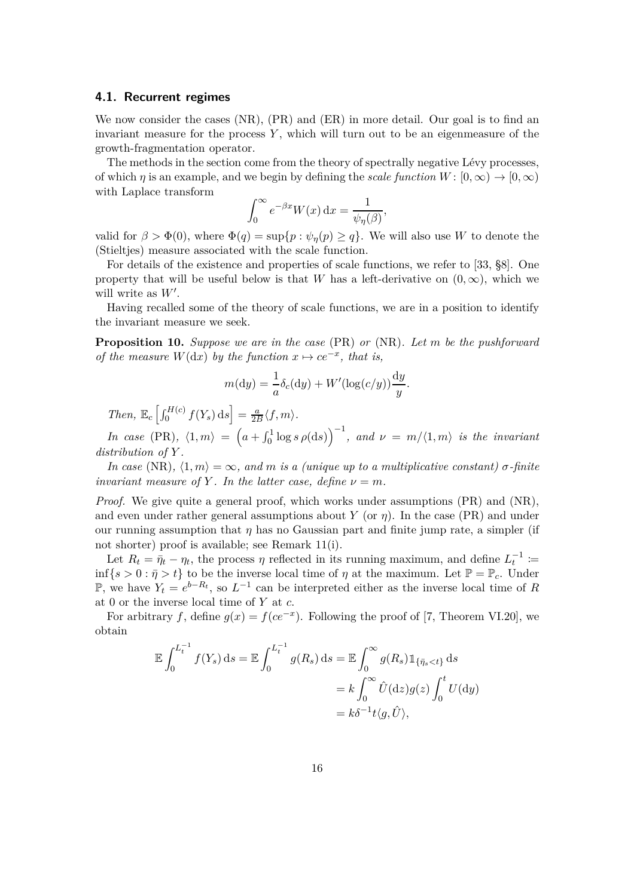#### **4.1. Recurrent regimes**

We now consider the cases (NR), (PR) and (ER) in more detail. Our goal is to find an invariant measure for the process  $Y$ , which will turn out to be an eigenmeasure of the growth-fragmentation operator.

The methods in the section come from the theory of spectrally negative Lévy processes, of which *η* is an example, and we begin by defining the *scale function*  $W: [0, \infty) \to [0, \infty)$ with Laplace transform

$$
\int_0^\infty e^{-\beta x} W(x) \, \mathrm{d}x = \frac{1}{\psi_\eta(\beta)},
$$

valid for  $\beta > \Phi(0)$ , where  $\Phi(q) = \sup\{p : \psi_{\eta}(p) \geq q\}$ . We will also use *W* to denote the (Stieltjes) measure associated with the scale function.

For details of the existence and properties of scale functions, we refer to [33, §8]. One property that will be useful below is that *W* has a left-derivative on  $(0, \infty)$ , which we will write as *W*′ .

Having recalled some of the theory of scale functions, we are in a position to identify the invariant measure we seek.

**Proposition 10.** *Suppose we are in the case* (PR) *or* (NR)*. Let m be the pushforward of the measure*  $W(dx)$  *by the function*  $x \mapsto ce^{-x}$ *, that is,* 

$$
m(\mathrm{d}y) = \frac{1}{a}\delta_c(\mathrm{d}y) + W'(\log(c/y))\frac{\mathrm{d}y}{y}.
$$

 $\int_{c}^{H(c)} f(Y_s) ds = \frac{a}{2l}$  $\frac{a}{2B}\langle f,m\rangle$ .

*In case* (PR),  $\langle 1, m \rangle = \left( a + \int_0^1 \log s \, \rho(\mathrm{d}s) \right)^{-1}$ , and  $\nu = m/\langle 1, m \rangle$  is the invariant *distribution of Y .*

*In case* (NR),  $\langle 1, m \rangle = \infty$ , and *m* is a (unique up to a multiplicative constant)  $\sigma$ -finite *invariant measure of Y*. In the latter case, define  $\nu = m$ .

*Proof.* We give quite a general proof, which works under assumptions (PR) and (NR), and even under rather general assumptions about *Y* (or  $\eta$ ). In the case (PR) and under our running assumption that *η* has no Gaussian part and finite jump rate, a simpler (if not shorter) proof is available; see Remark 11(i).

Let  $R_t = \bar{\eta}_t - \eta_t$ , the process  $\eta$  reflected in its running maximum, and define  $L_t^{-1}$  := inf{ $s > 0 : \bar{\eta} > t$ } to be the inverse local time of  $\eta$  at the maximum. Let  $\mathbb{P} = \mathbb{P}_c$ . Under P, we have  $Y_t = e^{b - R_t}$ , so  $L^{-1}$  can be interpreted either as the inverse local time of *R* at 0 or the inverse local time of *Y* at *c*.

For arbitrary *f*, define  $g(x) = f(ce^{-x})$ . Following the proof of [7, Theorem VI.20], we obtain

$$
\mathbb{E} \int_0^{L_t^{-1}} f(Y_s) ds = \mathbb{E} \int_0^{L_t^{-1}} g(R_s) ds = \mathbb{E} \int_0^{\infty} g(R_s) \mathbb{1}_{\{\bar{\eta}_s < t\}} ds
$$
\n
$$
= k \int_0^{\infty} \hat{U}(dz) g(z) \int_0^t U(dy)
$$
\n
$$
= k\delta^{-1} t \langle g, \hat{U} \rangle,
$$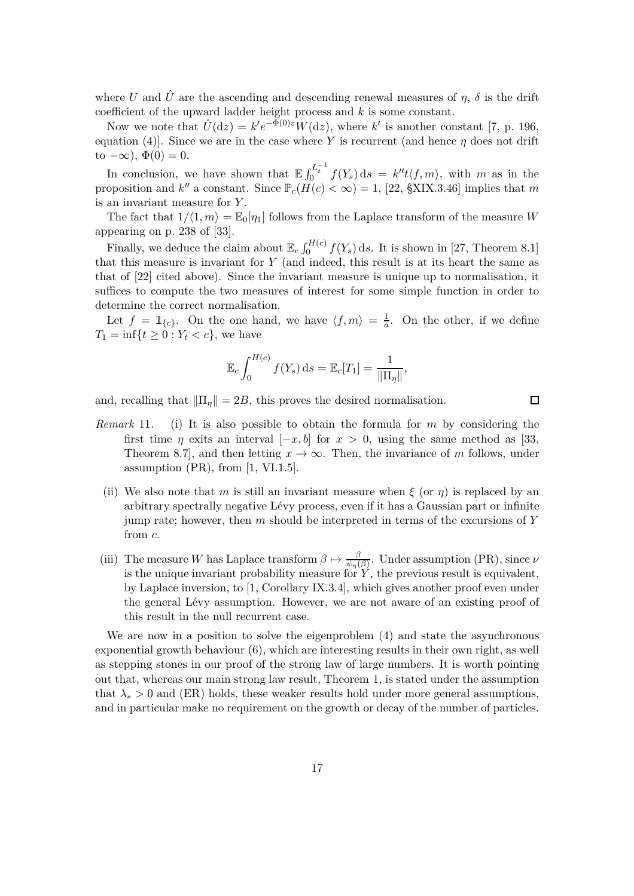where *U* and  $\hat{U}$  are the ascending and descending renewal measures of  $\eta$ ,  $\delta$  is the drift coefficient of the upward ladder height process and *k* is some constant.

Now we note that  $\hat{U}(\text{d}z) = k'e^{-\Phi(0)z}W(\text{d}z)$ , where  $k'$  is another constant [7, p. 196, equation (4)]. Since we are in the case where *Y* is recurrent (and hence *η* does not drift to  $-\infty$ ),  $\Phi(0) = 0$ .

In conclusion, we have shown that  $\mathbb{E} \int_0^{L_t^{-1}} f(Y_s) ds = k'' t \langle f, m \rangle$ , with *m* as in the proposition and  $k''$  a constant. Since  $\mathbb{P}_c(H(c) < \infty) = 1$ , [22, §XIX.3.46] implies that *m* is an invariant measure for *Y* .

The fact that  $1/(1, m) = \mathbb{E}_{0}[\eta_1]$  follows from the Laplace transform of the measure *W* appearing on p. 238 of [33].

Finally, we deduce the claim about  $\mathbb{E}_c \int_0^{H(c)} f(Y_s) ds$ . It is shown in [27, Theorem 8.1] that this measure is invariant for *Y* (and indeed, this result is at its heart the same as that of [22] cited above). Since the invariant measure is unique up to normalisation, it suffices to compute the two measures of interest for some simple function in order to determine the correct normalisation.

Let  $f = \mathbb{1}_{\{c\}}$ . On the one hand, we have  $\langle f, m \rangle = \frac{1}{a}$ . On the other, if we define  $T_1 = \inf\{t \ge 0 : Y_t < c\}$ , we have

$$
\mathbb{E}_c \int_0^{H(c)} f(Y_s) ds = \mathbb{E}_c[T_1] = \frac{1}{\|\Pi_\eta\|},
$$

and, recalling that  $\|\Pi_n\| = 2B$ , this proves the desired normalisation.

*Remark* 11*.* (i) It is also possible to obtain the formula for *m* by considering the first time *η* exits an interval  $[-x, b]$  for  $x > 0$ , using the same method as [33, Theorem 8.7], and then letting  $x \to \infty$ . Then, the invariance of *m* follows, under assumption  $(PR)$ , from  $[1, VI.1.5]$ .

 $\Box$ 

- (ii) We also note that *m* is still an invariant measure when  $\xi$  (or  $\eta$ ) is replaced by an arbitrary spectrally negative Lévy process, even if it has a Gaussian part or infinite jump rate; however, then *m* should be interpreted in terms of the excursions of *Y* from *c*.
- (iii) The measure *W* has Laplace transform  $\beta \mapsto \frac{\beta}{\psi_{\eta}(\beta)}$ . Under assumption (PR), since  $\nu$ is the unique invariant probability measure for  $Y$ , the previous result is equivalent, by Laplace inversion, to [1, Corollary IX.3.4], which gives another proof even under the general Lévy assumption. However, we are not aware of an existing proof of this result in the null recurrent case.

We are now in a position to solve the eigenproblem (4) and state the asynchronous exponential growth behaviour (6), which are interesting results in their own right, as well as stepping stones in our proof of the strong law of large numbers. It is worth pointing out that, whereas our main strong law result, Theorem 1, is stated under the assumption that  $\lambda_*$  > 0 and (ER) holds, these weaker results hold under more general assumptions, and in particular make no requirement on the growth or decay of the number of particles.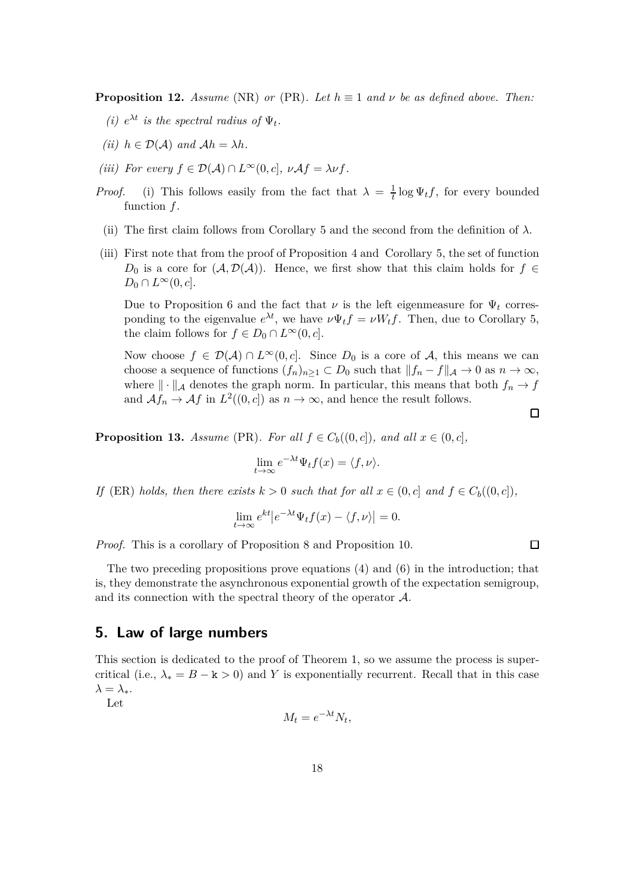**Proposition 12.** *Assume* (NR) *or* (PR). Let  $h \equiv 1$  *and*  $\nu$  *be as defined above. Then:* 

- *(i)*  $e^{\lambda t}$  *is the spectral radius of*  $\Psi_t$ .
- *(ii)*  $h \in \mathcal{D}(\mathcal{A})$  *and*  $\mathcal{A}h = \lambda h$ *.*
- *(iii)* For every  $f \in \mathcal{D}(\mathcal{A}) \cap L^{\infty}(0, c], \nu \mathcal{A}f = \lambda \nu f$ .
- *Proof.* (i) This follows easily from the fact that  $\lambda = \frac{1}{t} \log \Psi_t f$ , for every bounded function *f*.
- (ii) The first claim follows from Corollary 5 and the second from the definition of  $\lambda$ .
- (iii) First note that from the proof of Proposition 4 and Corollary 5, the set of function *D*<sub>0</sub> is a core for  $(A, \mathcal{D}(A))$ . Hence, we first show that this claim holds for *f* ∈  $D_0 \cap L^{\infty}(0, c].$

Due to Proposition 6 and the fact that  $\nu$  is the left eigenmeasure for  $\Psi_t$  corresponding to the eigenvalue  $e^{\lambda t}$ , we have  $\nu \Psi_t f = \nu W_t f$ . Then, due to Corollary 5, the claim follows for  $f \in D_0 \cap L^{\infty}(0, c]$ .

Now choose  $f \in \mathcal{D}(\mathcal{A}) \cap L^\infty(0, c]$ . Since *D*<sub>0</sub> is a core of *A*, this means we can choose a sequence of functions  $(f_n)_{n\geq 1} \subset D_0$  such that  $||f_n - f||_{\mathcal{A}} \to 0$  as  $n \to \infty$ , where  $\|\cdot\|_{\mathcal{A}}$  denotes the graph norm. In particular, this means that both  $f_n \to f$ and  $\mathcal{A}f_n \to \mathcal{A}f$  in  $L^2((0, c])$  as  $n \to \infty$ , and hence the result follows.

 $\Box$ 

 $\Box$ 

**Proposition 13.** *Assume* (PR)*. For all*  $f \in C_b((0, c])$ *, and all*  $x \in (0, c]$ *,* 

$$
\lim_{t \to \infty} e^{-\lambda t} \Psi_t f(x) = \langle f, \nu \rangle.
$$

*If* (ER) *holds, then there exists*  $k > 0$  *such that for all*  $x \in (0, c]$  *and*  $f \in C_b((0, c])$ *,* 

$$
\lim_{t \to \infty} e^{kt} |e^{-\lambda t} \Psi_t f(x) - \langle f, \nu \rangle| = 0.
$$

*Proof.* This is a corollary of Proposition 8 and Proposition 10.

The two preceding propositions prove equations (4) and (6) in the introduction; that is, they demonstrate the asynchronous exponential growth of the expectation semigroup, and its connection with the spectral theory of the operator  $A$ .

## **5. Law of large numbers**

This section is dedicated to the proof of Theorem 1, so we assume the process is supercritical (i.e.,  $\lambda_* = B - k > 0$ ) and *Y* is exponentially recurrent. Recall that in this case  $λ = λ_*$ .

Let

$$
M_t = e^{-\lambda t} N_t,
$$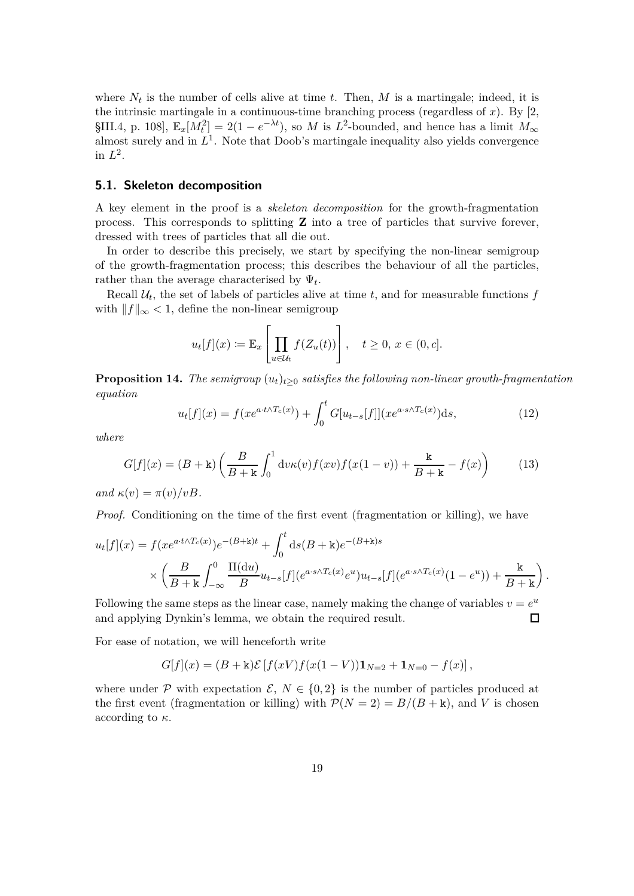where  $N_t$  is the number of cells alive at time  $t$ . Then,  $M$  is a martingale; indeed, it is the intrinsic martingale in a continuous-time branching process (regardless of *x*). By [2, §III.4, p. 108],  $\mathbb{E}_x[M_t^2] = 2(1 - e^{-\lambda t})$ , so *M* is *L*<sup>2</sup>-bounded, and hence has a limit  $M_\infty$ almost surely and in  $L^1$ . Note that Doob's martingale inequality also yields convergence in  $L^2$ .

#### **5.1. Skeleton decomposition**

A key element in the proof is a *skeleton decomposition* for the growth-fragmentation process. This corresponds to splitting **Z** into a tree of particles that survive forever, dressed with trees of particles that all die out.

In order to describe this precisely, we start by specifying the non-linear semigroup of the growth-fragmentation process; this describes the behaviour of all the particles, rather than the average characterised by  $\Psi_t$ .

Recall  $\mathcal{U}_t$ , the set of labels of particles alive at time  $t$ , and for measurable functions  $f$ with  $||f||_{\infty} < 1$ , define the non-linear semigroup

$$
u_t[f](x) := \mathbb{E}_x \left[ \prod_{u \in \mathcal{U}_t} f(Z_u(t)) \right], \quad t \ge 0, \ x \in (0, c].
$$

**Proposition 14.** *The semigroup*  $(u_t)_{t>0}$  *satisfies the following non-linear growth-fragmentation equation*

$$
u_t[f](x) = f(xe^{a \cdot t \wedge T_c(x)}) + \int_0^t G[u_{t-s}[f]](xe^{a \cdot s \wedge T_c(x)}) \mathrm{d}s,\tag{12}
$$

*where*

$$
G[f](x) = (B + \mathbf{k}) \left( \frac{B}{B + \mathbf{k}} \int_0^1 \mathrm{d}v \kappa(v) f(xv) f(x(1 - v)) + \frac{\mathbf{k}}{B + \mathbf{k}} - f(x) \right) \tag{13}
$$

 $and \kappa(v) = \pi(v)/vB.$ 

*Proof.* Conditioning on the time of the first event (fragmentation or killing), we have

$$
u_t[f](x) = f(xe^{a \cdot t \wedge T_c(x)})e^{-(B+\mathbf{k})t} + \int_0^t ds(B+\mathbf{k})e^{-(B+\mathbf{k})s} \times \left(\frac{B}{B+\mathbf{k}}\int_{-\infty}^0 \frac{\Pi(\mathrm{d}u)}{B}u_{t-s}[f](e^{a \cdot s \wedge T_c(x)}e^u)u_{t-s}[f](e^{a \cdot s \wedge T_c(x)}(1-e^u)) + \frac{\mathbf{k}}{B+\mathbf{k}}\right).
$$

Following the same steps as the linear case, namely making the change of variables  $v = e^u$ and applying Dynkin's lemma, we obtain the required result.  $\Box$ 

For ease of notation, we will henceforth write

$$
G[f](x) = (B + \mathbf{k})\mathcal{E}[f(xV)f(x(1 - V))\mathbf{1}_{N=2} + \mathbf{1}_{N=0} - f(x)],
$$

where under P with expectation  $\mathcal{E}, N \in \{0,2\}$  is the number of particles produced at the first event (fragmentation or killing) with  $\mathcal{P}(N=2) = B/(B+\mathbf{k})$ , and *V* is chosen according to *κ*.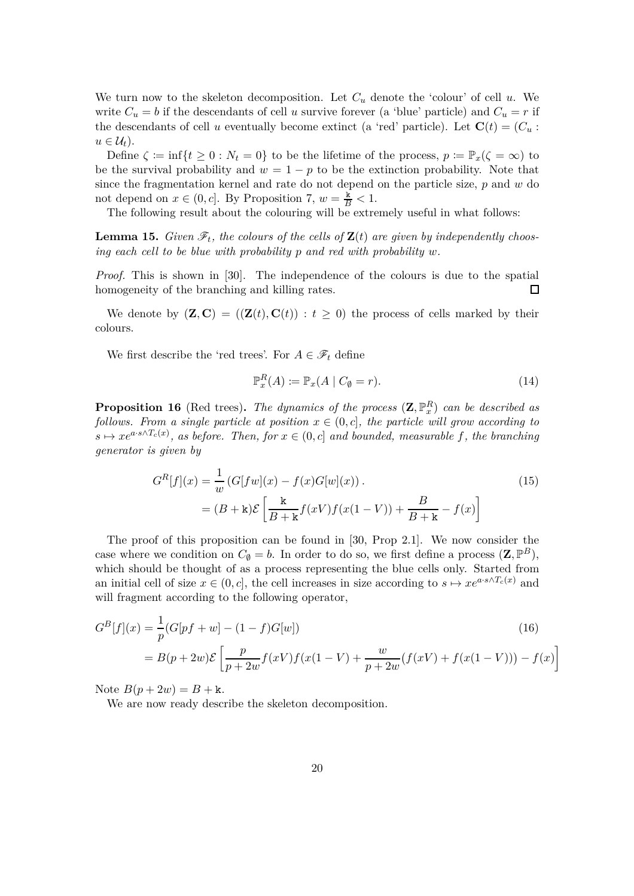We turn now to the skeleton decomposition. Let  $C_u$  denote the 'colour' of cell  $u$ . We write  $C_u = b$  if the descendants of cell *u* survive forever (a 'blue' particle) and  $C_u = r$  if the descendants of cell *u* eventually become extinct (a 'red' particle). Let  $\mathbf{C}(t) = (C_u :$  $u \in \mathcal{U}_t$ .

Define  $\zeta := \inf\{t \geq 0 : N_t = 0\}$  to be the lifetime of the process,  $p := \mathbb{P}_x(\zeta = \infty)$  to be the survival probability and  $w = 1 - p$  to be the extinction probability. Note that since the fragmentation kernel and rate do not depend on the particle size, *p* and *w* do not depend on  $x \in (0, c]$ . By Proposition 7,  $w = \frac{\dot{x}}{B} < 1$ .

The following result about the colouring will be extremely useful in what follows:

**Lemma 15.** *Given*  $\mathscr{F}_t$ *, the colours of the cells of*  $\mathbf{Z}(t)$  *are given by independently choosing each cell to be blue with probability p and red with probability w.*

*Proof.* This is shown in [30]. The independence of the colours is due to the spatial homogeneity of the branching and killing rates.  $\Box$ 

We denote by  $(\mathbf{Z}, \mathbf{C}) = ((\mathbf{Z}(t), \mathbf{C}(t)) : t \geq 0)$  the process of cells marked by their colours.

We first describe the 'red trees'. For  $A \in \mathscr{F}_t$  define

$$
\mathbb{P}_x^R(A) \coloneqq \mathbb{P}_x(A \mid C_\emptyset = r). \tag{14}
$$

**Proposition 16** (Red trees). The dynamics of the process  $(\mathbf{Z}, \mathbb{P}_x^R)$  can be described as *follows. From a single particle at position*  $x \in (0, c]$ *, the particle will grow according to*  $s \mapsto xe^{a \cdot s \wedge T_c(x)}$ , as before. Then, for  $x \in (0, c]$  and bounded, measurable f, the branching *generator is given by*

$$
G^{R}[f](x) = \frac{1}{w} (G[fw](x) - f(x)G[w](x)).
$$
\n
$$
= (B + \kappa)\mathcal{E}\left[\frac{\kappa}{B + \kappa}f(xV)f(x(1 - V)) + \frac{B}{B + \kappa} - f(x)\right]
$$
\n(15)

The proof of this proposition can be found in [30, Prop 2.1]. We now consider the case where we condition on  $C_{\emptyset} = b$ . In order to do so, we first define a process  $(\mathbf{Z}, \mathbb{P}^B)$ , which should be thought of as a process representing the blue cells only. Started from an initial cell of size  $x \in (0, c]$ , the cell increases in size according to  $s \mapsto xe^{a \cdot s \wedge T_c(x)}$  and will fragment according to the following operator,

$$
G^{B}[f](x) = \frac{1}{p}(G[pf+w] - (1-f)G[w])
$$
\n
$$
= B(p+2w)\mathcal{E}\left[\frac{p}{p+2w}f(xV)f(x(1-V) + \frac{w}{p+2w}(f(xV) + f(x(1-V))) - f(x)\right]
$$
\n(16)

Note  $B(p + 2w) = B + k$ .

We are now ready describe the skeleton decomposition.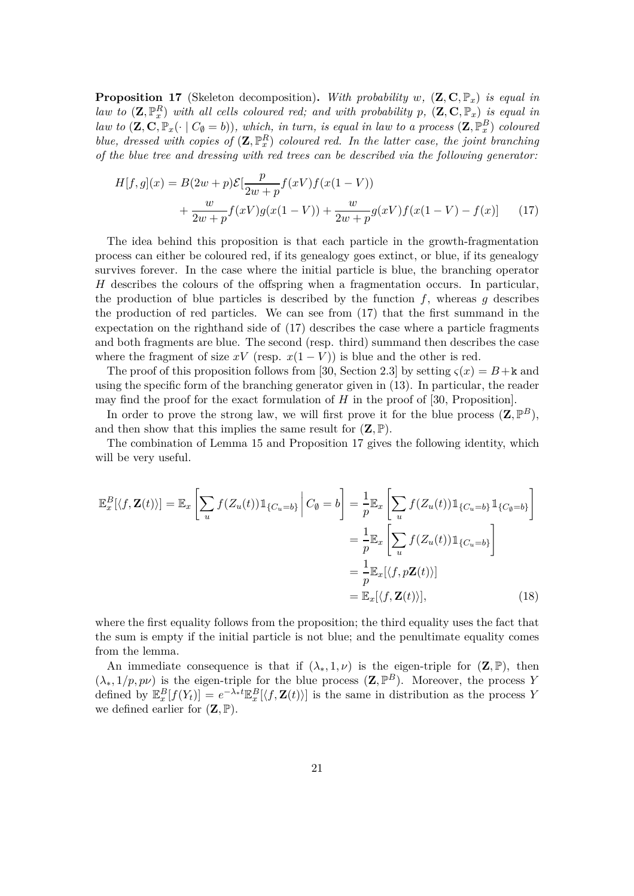**Proposition 17** (Skeleton decomposition)**.** *With probability w,* (**Z***,* **C***,* P*x*) *is equal in law to*  $(\mathbf{Z}, \mathbb{P}_x^R)$  *with all cells coloured red; and with probability*  $p$ *,*  $(\mathbf{Z}, \mathbf{C}, \mathbb{P}_x)$  *is equal in law to*  $(\mathbf{Z}, \mathbf{C}, \mathbb{P}_x(\cdot \mid C_{\emptyset} = b))$ , which, in turn, is equal in law to a process  $(\mathbf{Z}, \mathbb{P}_x^B)$  coloured *blue, dressed with copies of*  $(\mathbf{Z}, \mathbb{P}_x^R)$  *coloured red. In the latter case, the joint branching of the blue tree and dressing with red trees can be described via the following generator:*

$$
H[f,g](x) = B(2w+p)\mathcal{E}[\frac{p}{2w+p}f(xV)f(x(1-V)) + \frac{w}{2w+p}f(xV)g(x(1-V)) + \frac{w}{2w+p}g(xV)f(x(1-V) - f(x)) \tag{17}
$$

The idea behind this proposition is that each particle in the growth-fragmentation process can either be coloured red, if its genealogy goes extinct, or blue, if its genealogy survives forever. In the case where the initial particle is blue, the branching operator *H* describes the colours of the offspring when a fragmentation occurs. In particular, the production of blue particles is described by the function  $f$ , whereas  $g$  describes the production of red particles. We can see from (17) that the first summand in the expectation on the righthand side of (17) describes the case where a particle fragments and both fragments are blue. The second (resp. third) summand then describes the case where the fragment of size  $xV$  (resp.  $x(1 - V)$ ) is blue and the other is red.

The proof of this proposition follows from [30, Section 2.3] by setting  $\zeta(x) = B + k$  and using the specific form of the branching generator given in (13). In particular, the reader may find the proof for the exact formulation of  $H$  in the proof of [30, Proposition].

In order to prove the strong law, we will first prove it for the blue process  $(\mathbf{Z}, \mathbb{P}^B)$ , and then show that this implies the same result for  $(\mathbf{Z}, \mathbb{P})$ .

The combination of Lemma 15 and Proposition 17 gives the following identity, which will be very useful.

$$
\mathbb{E}_x^B[\langle f, \mathbf{Z}(t) \rangle] = \mathbb{E}_x \left[ \sum_u f(Z_u(t)) \mathbb{1}_{\{C_u = b\}} \Big| C_{\emptyset} = b \right] = \frac{1}{p} \mathbb{E}_x \left[ \sum_u f(Z_u(t)) \mathbb{1}_{\{C_u = b\}} \mathbb{1}_{\{C_{\emptyset} = b\}} \right]
$$

$$
= \frac{1}{p} \mathbb{E}_x \left[ \sum_u f(Z_u(t)) \mathbb{1}_{\{C_u = b\}} \right]
$$

$$
= \frac{1}{p} \mathbb{E}_x [\langle f, p\mathbf{Z}(t) \rangle]
$$

$$
= \mathbb{E}_x [\langle f, \mathbf{Z}(t) \rangle], \tag{18}
$$

where the first equality follows from the proposition; the third equality uses the fact that the sum is empty if the initial particle is not blue; and the penultimate equality comes from the lemma.

An immediate consequence is that if  $(\lambda_*, 1, \nu)$  is the eigen-triple for  $(\mathbf{Z}, \mathbb{P})$ , then  $(\lambda_*, 1/p, p\nu)$  is the eigen-triple for the blue process  $(\mathbf{Z}, \mathbb{P}^B)$ . Moreover, the process *Y* defined by  $\mathbb{E}_x^B[f(Y_t)] = e^{-\lambda_* t} \mathbb{E}_x^B[\langle f, \mathbf{Z}(t) \rangle]$  is the same in distribution as the process *Y* we defined earlier for  $(\mathbf{Z}, \mathbb{P})$ .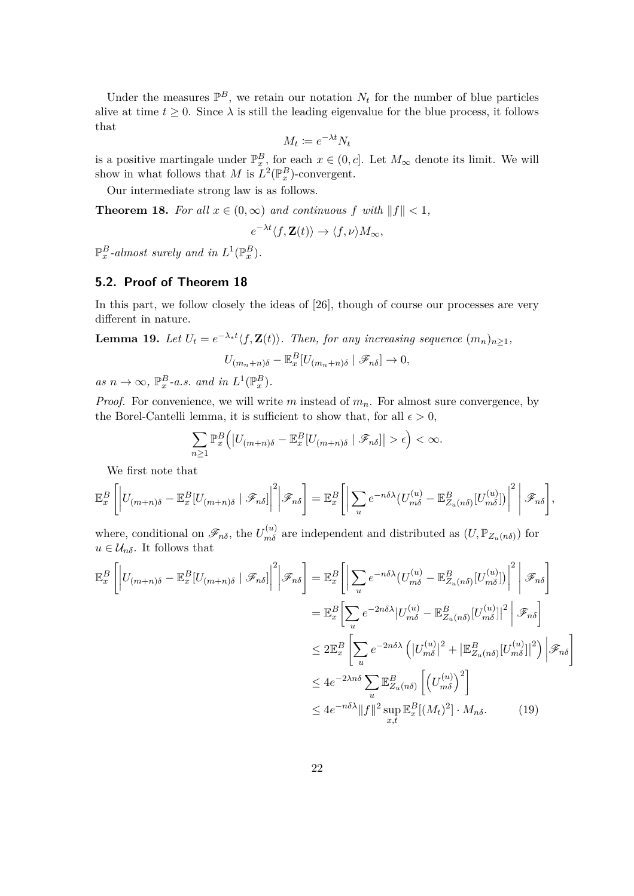Under the measures  $\mathbb{P}^B$ , we retain our notation  $N_t$  for the number of blue particles alive at time  $t \geq 0$ . Since  $\lambda$  is still the leading eigenvalue for the blue process, it follows that

$$
M_t \coloneqq e^{-\lambda t} N_t
$$

is a positive martingale under  $\mathbb{P}_{x}^{B}$ , for each  $x \in (0, c]$ . Let  $M_{\infty}$  denote its limit. We will show in what follows that *M* is  $L^2(\mathbb{P}_x^B)$ -convergent.

Our intermediate strong law is as follows.

**Theorem 18.** *For all*  $x \in (0, \infty)$  *and continuous*  $f$  *with*  $||f|| < 1$ *,* 

$$
e^{-\lambda t}\langle f, \mathbf{Z}(t)\rangle \to \langle f, \nu\rangle M_{\infty},
$$

 $\mathbb{P}_x^B$ -almost surely and in  $L^1(\mathbb{P}_x^B)$ .

#### **5.2. Proof of Theorem 18**

In this part, we follow closely the ideas of  $[26]$ , though of course our processes are very different in nature.

**Lemma 19.** *Let*  $U_t = e^{-\lambda_* t} \langle f, \mathbf{Z}(t) \rangle$ *. Then, for any increasing sequence*  $(m_n)_{n \geq 1}$ *,* 

$$
U_{(m_n+n)\delta} - \mathbb{E}_x^B [U_{(m_n+n)\delta} | \mathcal{F}_{n\delta}] \to 0,
$$

 $as n \to \infty$ ,  $\mathbb{P}_x^B$ -*a.s. and in*  $L^1(\mathbb{P}_x^B)$ .

*Proof.* For convenience, we will write *m* instead of  $m_n$ . For almost sure convergence, by the Borel-Cantelli lemma, it is sufficient to show that, for all  $\epsilon > 0$ ,

$$
\sum_{n\geq 1} \mathbb{P}_x^B \Big( \big| U_{(m+n)\delta} - \mathbb{E}_x^B [U_{(m+n)\delta} | \mathscr{F}_{n\delta}] \big| > \epsilon \Big) < \infty.
$$

We first note that

$$
\mathbb{E}_x^B \left[ \left| U_{(m+n)\delta} - \mathbb{E}_x^B[U_{(m+n)\delta} | \mathscr{F}_{n\delta}] \right|^2 \middle| \mathscr{F}_{n\delta} \right] = \mathbb{E}_x^B \left[ \left| \sum_u e^{-n\delta\lambda} (U_{m\delta}^{(u)} - \mathbb{E}_{Z_u(n\delta)}^B[U_{m\delta}^{(u)}]) \right|^2 \middle| \mathscr{F}_{n\delta} \right],
$$

where, conditional on  $\mathscr{F}_{n\delta}$ , the  $U_{m\delta}^{(u)}$  are independent and distributed as  $(U, \mathbb{P}_{Z_u(n\delta)})$  for  $u \in \mathcal{U}_{n\delta}$ . It follows that

$$
\mathbb{E}_{x}^{B}\left[\left|U_{(m+n)\delta}-\mathbb{E}_{x}^{B}[U_{(m+n)\delta} \mid \mathscr{F}_{n\delta}]\right|^{2}\right|\mathscr{F}_{n\delta}\right] = \mathbb{E}_{x}^{B}\left[\left|\sum_{u}e^{-n\delta\lambda}\left(U_{m\delta}^{(u)}-\mathbb{E}_{Z_{u}(n\delta)}^{B}[U_{m\delta}^{(u)}]\right)\right|^{2}\right|\mathscr{F}_{n\delta}\right]
$$

$$
= \mathbb{E}_{x}^{B}\left[\sum_{u}e^{-2n\delta\lambda}\left|U_{m\delta}^{(u)}-\mathbb{E}_{Z_{u}(n\delta)}^{B}[U_{m\delta}^{(u)}]\right|^{2}\right|\mathscr{F}_{n\delta}\right]
$$

$$
\leq 2\mathbb{E}_{x}^{B}\left[\sum_{u}e^{-2n\delta\lambda}\left(\left|U_{m\delta}^{(u)}\right|^{2}+\left|\mathbb{E}_{Z_{u}(n\delta)}^{B}[U_{m\delta}^{(u)}]\right|^{2}\right)\right|\mathscr{F}_{n\delta}\right]
$$

$$
\leq 4e^{-2\lambda n\delta}\sum_{u}\mathbb{E}_{Z_{u}(n\delta)}^{B}\left[\left(U_{m\delta}^{(u)}\right)^{2}\right]
$$

$$
\leq 4e^{-n\delta\lambda}\|f\|^{2}\sup_{x,t}\mathbb{E}_{x}^{B}[(M_{t})^{2}]\cdot M_{n\delta}.\tag{19}
$$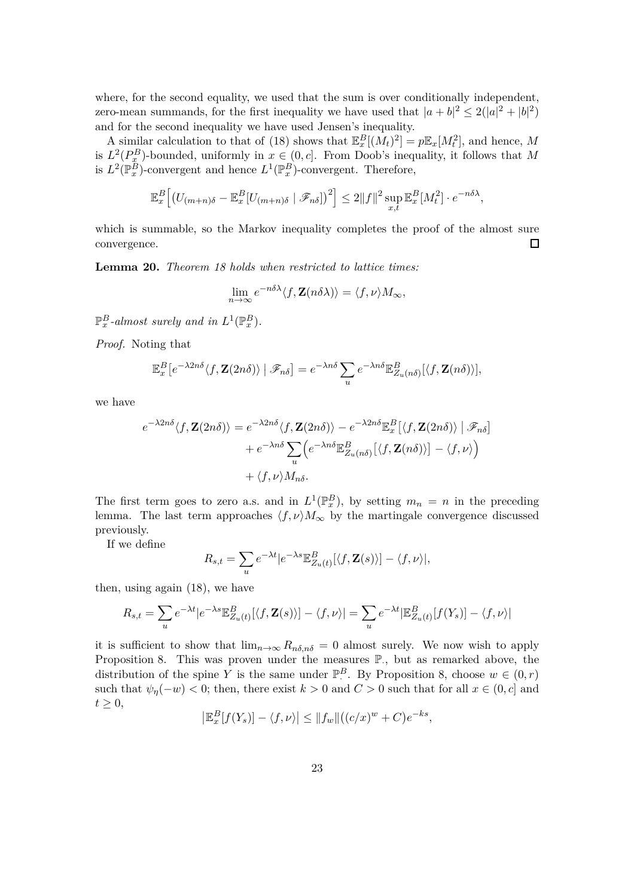where, for the second equality, we used that the sum is over conditionally independent, zero-mean summands, for the first inequality we have used that  $|a+b|^2 \leq 2(|a|^2 + |b|^2)$ and for the second inequality we have used Jensen's inequality.

A similar calculation to that of (18) shows that  $\mathbb{E}_x^B[(M_t)^2] = p\mathbb{E}_x[M_t^2]$ , and hence, M is  $L^2(P_x^B)$ -bounded, uniformly in  $x \in (0, c]$ . From Doob's inequality, it follows that M is  $L^2(\mathbb{P}_x^{\overline{B}})$ -convergent and hence  $L^1(\mathbb{P}_x^B)$ -convergent. Therefore,

$$
\mathbb{E}_x^B \Big[ \big( U_{(m+n)\delta} - \mathbb{E}_x^B [U_{(m+n)\delta} | \mathcal{F}_{n\delta}] \big)^2 \Big] \le 2 \| f \|^2 \sup_{x,t} \mathbb{E}_x^B [M_t^2] \cdot e^{-n\delta \lambda},
$$

which is summable, so the Markov inequality completes the proof of the almost sure convergence.  $\Box$ 

**Lemma 20.** *Theorem 18 holds when restricted to lattice times:*

$$
\lim_{n\to\infty}e^{-n\delta\lambda}\langle f,\mathbf{Z}(n\delta\lambda)\rangle=\langle f,\nu\rangle M_{\infty},
$$

 $\mathbb{P}_x^B$ -almost surely and in  $L^1(\mathbb{P}_x^B)$ .

*Proof.* Noting that

$$
\mathbb{E}_x^B\left[e^{-\lambda 2n\delta}\langle f,\mathbf{Z}(2n\delta)\rangle \mid \mathscr{F}_{n\delta}\right] = e^{-\lambda n\delta} \sum_u e^{-\lambda n\delta} \mathbb{E}_{Z_u(n\delta)}^B[\langle f,\mathbf{Z}(n\delta)\rangle],
$$

we have

$$
e^{-\lambda 2n\delta}\langle f, \mathbf{Z}(2n\delta)\rangle = e^{-\lambda 2n\delta}\langle f, \mathbf{Z}(2n\delta)\rangle - e^{-\lambda 2n\delta}\mathbb{E}_x^B[\langle f, \mathbf{Z}(2n\delta)\rangle | \mathcal{F}_{n\delta}]
$$

$$
+ e^{-\lambda n\delta}\sum_u \Big(e^{-\lambda n\delta}\mathbb{E}_{Z_u(n\delta)}^B[\langle f, \mathbf{Z}(n\delta)\rangle] - \langle f, \nu\rangle\Big)
$$

$$
+ \langle f, \nu\rangle M_{n\delta}.
$$

The first term goes to zero a.s. and in  $L^1(\mathbb{P}_x^B)$ , by setting  $m_n = n$  in the preceding lemma. The last term approaches  $\langle f, \nu \rangle M_{\infty}$  by the martingale convergence discussed previously.

If we define

$$
R_{s,t} = \sum_{u} e^{-\lambda t} |e^{-\lambda s} \mathbb{E}^B_{Z_u(t)}[\langle f, \mathbf{Z}(s) \rangle] - \langle f, \nu \rangle|,
$$

then, using again (18), we have

$$
R_{s,t} = \sum_{u} e^{-\lambda t} |e^{-\lambda s} \mathbb{E}_{Z_u(t)}^B[\langle f, \mathbf{Z}(s) \rangle] - \langle f, \nu \rangle| = \sum_{u} e^{-\lambda t} |\mathbb{E}_{Z_u(t)}^B[f(Y_s)] - \langle f, \nu \rangle|
$$

it is sufficient to show that  $\lim_{n\to\infty} R_{n\delta,n\delta} = 0$  almost surely. We now wish to apply Proposition 8. This was proven under the measures  $\mathbb{P}_{\cdot}$ , but as remarked above, the distribution of the spine *Y* is the same under  $\mathbb{P}^B$ . By Proposition 8, choose  $w \in (0, r)$ such that  $\psi_{\eta}(-w) < 0$ ; then, there exist  $k > 0$  and  $C > 0$  such that for all  $x \in (0, c]$  and  $t \geq 0$ ,

$$
\left|\mathbb{E}_x^B[f(Y_s)] - \langle f, \nu \rangle\right| \le ||f_w||((c/x)^w + C)e^{-ks},
$$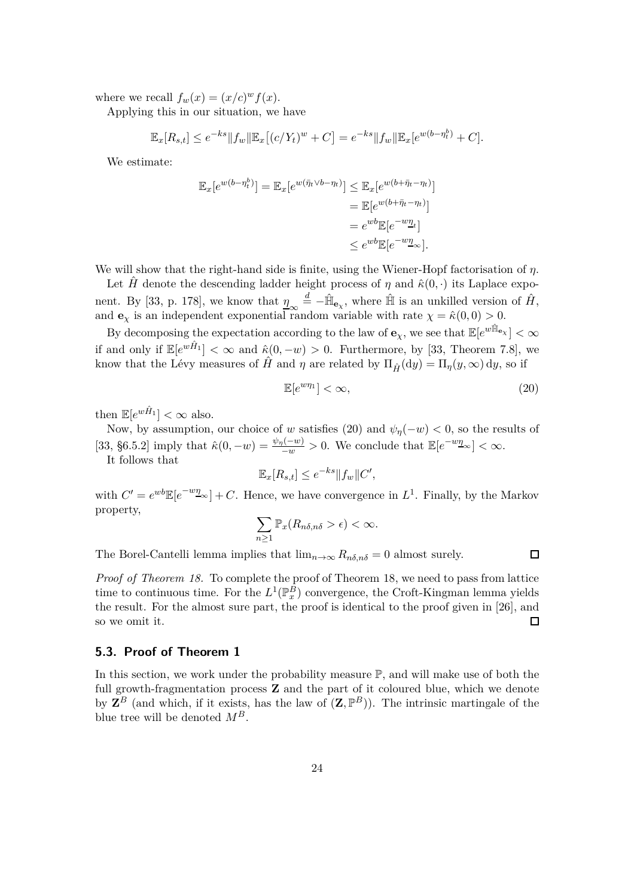where we recall  $f_w(x) = (x/c)^w f(x)$ .

Applying this in our situation, we have

$$
\mathbb{E}_x[R_{s,t}] \le e^{-ks} ||f_w|| \mathbb{E}_x[(c/Y_t)^w + C] = e^{-ks} ||f_w|| \mathbb{E}_x[e^{w(b-\eta_t^b)} + C].
$$

We estimate:

$$
\mathbb{E}_x[e^{w(b-\eta_t^b)}] = \mathbb{E}_x[e^{w(\bar{\eta}_t \vee b-\eta_t)}] \leq \mathbb{E}_x[e^{w(b+\bar{\eta}_t-\eta_t)}]
$$
  
\n
$$
= \mathbb{E}[e^{w(b+\bar{\eta}_t-\eta_t)}]
$$
  
\n
$$
= e^{wb}\mathbb{E}[e^{-w\underline{\eta}_t}]
$$
  
\n
$$
\leq e^{wb}\mathbb{E}[e^{-w\underline{\eta}_\infty}].
$$

We will show that the right-hand side is finite, using the Wiener-Hopf factorisation of *η*.

Let *H* denote the descending ladder height process of  $\eta$  and  $\hat{\kappa}(0, \cdot)$  its Laplace exponent. By [33, p. 178], we know that  $\frac{\eta}{2} \approx \frac{d}{2} - \hat{\mathbb{H}}_{\mathbf{e}_{\chi}}$ , where  $\hat{\mathbb{H}}$  is an unkilled version of  $\hat{H}$ , and **e**<sub>*x*</sub> is an independent exponential random variable with rate  $\chi = \hat{\kappa}(0,0) > 0$ .

By decomposing the expectation according to the law of  $\mathbf{e}_\chi$ , we see that  $\mathbb{E}[e^{w\hat{\mathbb{H}}_{\mathbf{e}_\chi}}] < \infty$ if and only if  $\mathbb{E}[e^{w\hat{H}_1}] < \infty$  and  $\hat{\kappa}(0, -w) > 0$ . Furthermore, by [33, Theorem 7.8], we know that the Lévy measures of  $\hat{H}$  and  $\eta$  are related by  $\Pi_{\hat{H}}(\mathrm{d}y) = \Pi_{\eta}(y,\infty) \mathrm{d}y$ , so if

$$
\mathbb{E}[e^{w\eta_1}] < \infty,\tag{20}
$$

 $\Box$ 

then  $\mathbb{E}[e^{w\hat{H}_1}] < \infty$  also.

Now, by assumption, our choice of *w* satisfies (20) and  $\psi_{\eta}(-w) < 0$ , so the results of [33, §6.5.2] imply that  $\hat{\kappa}(0, -w) = \frac{\psi_{\eta}(-w)}{-w} > 0$ . We conclude that  $\mathbb{E}[e^{-w\eta_{\infty}}] < \infty$ .

It follows that

$$
\mathbb{E}_x[R_{s,t}] \le e^{-ks} ||f_w||C',
$$

with  $C' = e^{wb} \mathbb{E}[e^{-wy}]\omega + C$ . Hence, we have convergence in  $L^1$ . Finally, by the Markov property,

$$
\sum_{n\geq 1} \mathbb{P}_x(R_{n\delta,n\delta} > \epsilon) < \infty.
$$

The Borel-Cantelli lemma implies that  $\lim_{n\to\infty} R_{n\delta,n\delta} = 0$  almost surely.

*Proof of Theorem 18.* To complete the proof of Theorem 18, we need to pass from lattice time to continuous time. For the  $L^1(\mathbb{P}_x^B)$  convergence, the Croft-Kingman lemma yields the result. For the almost sure part, the proof is identical to the proof given in [26], and so we omit it.  $\Box$ 

#### **5.3. Proof of Theorem 1**

In this section, we work under the probability measure  $\mathbb{P}$ , and will make use of both the full growth-fragmentation process **Z** and the part of it coloured blue, which we denote by  $\mathbf{Z}^B$  (and which, if it exists, has the law of  $(\mathbf{Z}, \mathbb{P}^B)$ ). The intrinsic martingale of the blue tree will be denoted *MB*.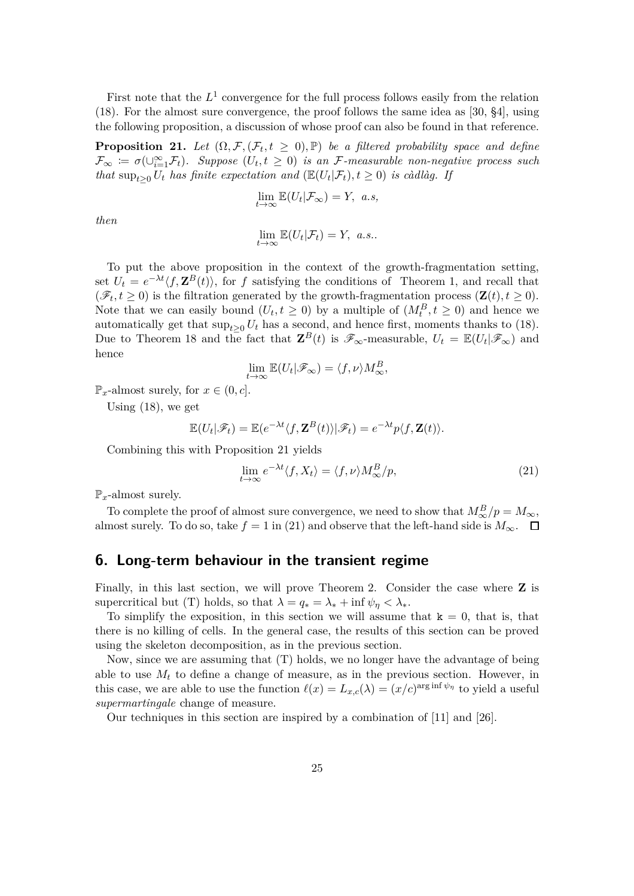First note that the  $L^1$  convergence for the full process follows easily from the relation (18). For the almost sure convergence, the proof follows the same idea as [30, §4], using the following proposition, a discussion of whose proof can also be found in that reference.

**Proposition 21.** Let  $(\Omega, \mathcal{F}, (\mathcal{F}_t, t \ge 0), \mathbb{P})$  be a filtered probability space and define  $\mathcal{F}_{\infty} := \sigma(\cup_{i=1}^{\infty} \mathcal{F}_t)$ . Suppose  $(U_t, t \geq 0)$  is an F-measurable non-negative process such *that*  $\sup_{t\geq 0} U_t$  *has finite expectation and* ( $\mathbb{E}(U_t|\mathcal{F}_t), t \geq 0$ ) *is càdlàg. If* 

$$
\lim_{t \to \infty} \mathbb{E}(U_t | \mathcal{F}_{\infty}) = Y, \ a.s,
$$

*then*

$$
\lim_{t \to \infty} \mathbb{E}(U_t | \mathcal{F}_t) = Y, \ a.s..
$$

To put the above proposition in the context of the growth-fragmentation setting, set  $U_t = e^{-\lambda t} \langle f, \mathbf{Z}^B(t) \rangle$ , for f satisfying the conditions of Theorem 1, and recall that  $(\mathscr{F}_t, t \geq 0)$  is the filtration generated by the growth-fragmentation process  $(\mathbf{Z}(t), t \geq 0)$ . Note that we can easily bound  $(U_t, t \geq 0)$  by a multiple of  $(M_t^B, t \geq 0)$  and hence we automatically get that  $\sup_{t>0} U_t$  has a second, and hence first, moments thanks to (18). Due to Theorem 18 and the fact that  $\mathbf{Z}^B(t)$  is  $\mathscr{F}_{\infty}$ -measurable,  $U_t = \mathbb{E}(U_t | \mathscr{F}_{\infty})$  and hence

$$
\lim_{t \to \infty} \mathbb{E}(U_t | \mathscr{F}_\infty) = \langle f, \nu \rangle M^B_\infty,
$$

 $\mathbb{P}_x$ -almost surely, for  $x \in (0, c]$ .

Using (18), we get

$$
\mathbb{E}(U_t|\mathscr{F}_t)=\mathbb{E}(e^{-\lambda t}\langle f,\mathbf{Z}^B(t)\rangle|\mathscr{F}_t)=e^{-\lambda t}p\langle f,\mathbf{Z}(t)\rangle.
$$

Combining this with Proposition 21 yields

$$
\lim_{t \to \infty} e^{-\lambda t} \langle f, X_t \rangle = \langle f, \nu \rangle M_{\infty}^B / p, \tag{21}
$$

 $\mathbb{P}_x$ -almost surely.

To complete the proof of almost sure convergence, we need to show that  $M^B_{\infty}/p = M_{\infty}$ , almost surely. To do so, take  $f = 1$  in (21) and observe that the left-hand side is  $M_{\infty}$ .  $\Box$ 

#### **6. Long-term behaviour in the transient regime**

Finally, in this last section, we will prove Theorem 2. Consider the case where **Z** is supercritical but (T) holds, so that  $\lambda = q_* = \lambda_* + \inf \psi_{\eta} < \lambda_*$ .

To simplify the exposition, in this section we will assume that  $k = 0$ , that is, that there is no killing of cells. In the general case, the results of this section can be proved using the skeleton decomposition, as in the previous section.

Now, since we are assuming that (T) holds, we no longer have the advantage of being able to use  $M_t$  to define a change of measure, as in the previous section. However, in this case, we are able to use the function  $\ell(x) = L_{x,c}(\lambda) = (x/c)^{\arg \inf \psi_{\eta}}$  to yield a useful *supermartingale* change of measure.

Our techniques in this section are inspired by a combination of [11] and [26].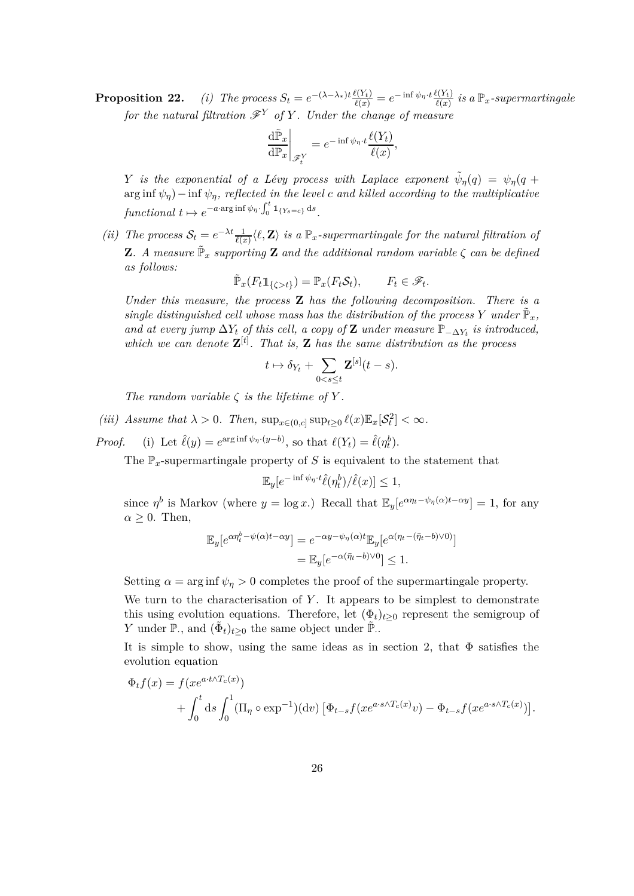**Proposition 22.** (i) The process  $S_t = e^{-(\lambda-\lambda_*)t} \frac{\ell(Y_t)}{\ell(x)} = e^{-\inf \psi_{\eta} \cdot t} \frac{\ell(Y_t)}{\ell(x)}$  is a  $\mathbb{P}_x$ -supermartingale *for the natural filtration*  $\mathscr{F}^Y$  *of*  $Y$ *. Under the change of measure* 

$$
\left. \frac{\mathrm{d}\tilde{\mathbb{P}}_x}{\mathrm{d}\mathbb{P}_x} \right|_{\mathscr{F}_t^Y} = e^{-\inf \psi_\eta \cdot t} \frac{\ell(Y_t)}{\ell(x)},
$$

*Y is the exponential of a Lévy process with Laplace exponent*  $\tilde{\psi}_{\eta}(q) = \psi_{\eta}(q + q)$  $\arg \inf \psi_n$ ) − inf  $\psi_n$ *, reflected in the level c and killed according to the multiplicative*  $\int_0^{\infty} f(1 + \epsilon) \, dt \mapsto e^{-a \cdot \arg \inf \psi_{\eta} \cdot \int_0^t \mathbbm{1}_{\{Y_s = c\}} \, ds}.$ 

*(ii)* The process  $S_t = e^{-\lambda t} \frac{1}{\ell(x)} \langle \ell, \mathbf{Z} \rangle$  is a  $\mathbb{P}_x$ -supermartingale for the natural filtration of **Z***.* A measure  $\tilde{\mathbb{P}}_x$  supporting **Z** and the additional random variable  $\zeta$  can be defined *as follows:*

$$
\tilde{\mathbb{P}}_x(F_t \mathbb{1}_{\{\zeta > t\}}) = \mathbb{P}_x(F_t \mathcal{S}_t), \qquad F_t \in \mathscr{F}_t.
$$

*Under this measure, the process* **Z** *has the following decomposition. There is a*  $single\ distinguished\ cell\ whose\ mass\ has\ the\ distribution\ of\ the\ process\ Y\ under\ \tilde{\mathbb{P}}_x,$ *and at every jump*  $\Delta Y_t$  *of this cell, a copy of* **Z** *under measure*  $\mathbb{P}_{-\Delta Y_t}$  *is introduced, which we can denote*  $\mathbf{Z}^{[t]}$ . That is, **Z** has the same distribution as the process

$$
t \mapsto \delta_{Y_t} + \sum_{0 < s \leq t} \mathbf{Z}^{[s]}(t-s).
$$

*The random variable*  $\zeta$  *is the lifetime of*  $Y$ *.* 

- (*iii*) Assume that  $\lambda > 0$ . Then,  $\sup_{x \in (0,c]} \sup_{t \geq 0} \ell(x) \mathbb{E}_x[\mathcal{S}_t^2] < \infty$ .
- *Proof.* (i) Let  $\hat{\ell}(y) = e^{\arg \inf \psi_{\eta} \cdot (y-b)}$ , so that  $\ell(Y_t) = \hat{\ell}(\eta_t^b)$ .

The  $\mathbb{P}_x$ -supermartingale property of *S* is equivalent to the statement that

$$
\mathbb{E}_y[e^{-\inf \psi_{\eta} \cdot t}\hat{\ell}(\eta^b_t)/\hat{\ell}(x)] \le 1,
$$

since  $\eta^b$  is Markov (where  $y = \log x$ .) Recall that  $\mathbb{E}_y[e^{\alpha \eta_t - \psi_\eta(\alpha)t - \alpha y}] = 1$ , for any  $\alpha \geq 0$ . Then,

$$
\mathbb{E}_y[e^{\alpha \eta_t^b - \psi(\alpha)t - \alpha y}] = e^{-\alpha y - \psi_\eta(\alpha)t} \mathbb{E}_y[e^{\alpha(\eta_t - (\bar{\eta}_t - b)\vee 0)}]
$$
  
= 
$$
\mathbb{E}_y[e^{-\alpha(\bar{\eta}_t - b)\vee 0}] \le 1.
$$

Setting  $\alpha = \arg \inf \psi_n > 0$  completes the proof of the supermartingale property.

We turn to the characterisation of Y. It appears to be simplest to demonstrate this using evolution equations. Therefore, let  $(\Phi_t)_{t>0}$  represent the semigroup of *Y* under  $\mathbb{P}_\cdot$ , and  $(\tilde{\Phi}_t)_{t\geq 0}$  the same object under  $\tilde{\mathbb{P}}_\cdot$ .

It is simple to show, using the same ideas as in section 2, that  $\Phi$  satisfies the evolution equation

$$
\Phi_t f(x) = f(x e^{a \cdot t \wedge T_c(x)})
$$
  
+ 
$$
\int_0^t ds \int_0^1 (\Pi_\eta \circ \exp^{-1})(dv) \left[ \Phi_{t-s} f(x e^{a \cdot s \wedge T_c(x)} v) - \Phi_{t-s} f(x e^{a \cdot s \wedge T_c(x)}) \right].
$$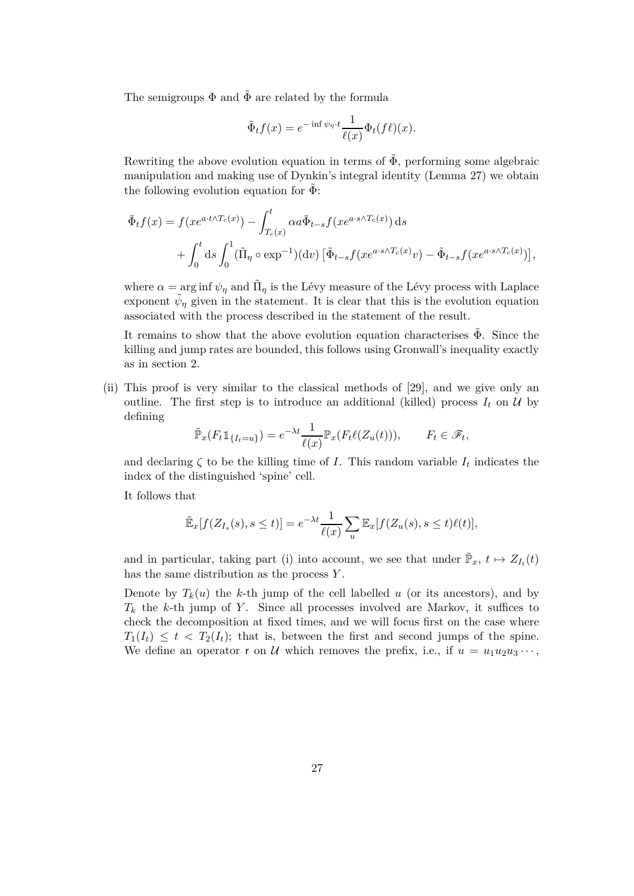The semigroups  $\Phi$  and  $\tilde{\Phi}$  are related by the formula

$$
\tilde{\Phi}_t f(x) = e^{-\inf \psi_{\eta} \cdot t} \frac{1}{\ell(x)} \Phi_t(f\ell)(x).
$$

Rewriting the above evolution equation in terms of  $\tilde{\Phi}$ , performing some algebraic manipulation and making use of Dynkin's integral identity (Lemma 27) we obtain the following evolution equation for  $\Phi$ :

$$
\tilde{\Phi}_t f(x) = f(x e^{a \cdot t \wedge T_c(x)}) - \int_{T_c(x)}^t \alpha a \tilde{\Phi}_{t-s} f(x e^{a \cdot s \wedge T_c(x)}) ds \n+ \int_0^t ds \int_0^1 (\tilde{\Pi}_{\eta} \circ \exp^{-1})(dv) \left[ \tilde{\Phi}_{t-s} f(x e^{a \cdot s \wedge T_c(x)}) - \tilde{\Phi}_{t-s} f(x e^{a \cdot s \wedge T_c(x)}) \right],
$$

where  $\alpha = \arg \inf \psi_{\eta}$  and  $\tilde{\Pi}_{\eta}$  is the Lévy measure of the Lévy process with Laplace exponent  $\tilde{\psi}_{\eta}$  given in the statement. It is clear that this is the evolution equation associated with the process described in the statement of the result.

It remains to show that the above evolution equation characterises  $\Phi$ . Since the killing and jump rates are bounded, this follows using Gronwall's inequality exactly as in section 2.

(ii) This proof is very similar to the classical methods of [29], and we give only an outline. The first step is to introduce an additional (killed) process  $I_t$  on  $U$  by defining

$$
\tilde{\mathbb{P}}_x(F_t \mathbb{1}_{\{I_t = u\}}) = e^{-\lambda t} \frac{1}{\ell(x)} \mathbb{P}_x(F_t \ell(Z_u(t))), \qquad F_t \in \mathcal{F}_t,
$$

and declaring  $\zeta$  to be the killing time of *I*. This random variable  $I_t$  indicates the index of the distinguished 'spine' cell.

It follows that

$$
\tilde{\mathbb{E}}_x[f(Z_{I_s}(s), s \le t)] = e^{-\lambda t} \frac{1}{\ell(x)} \sum_u \mathbb{E}_x[f(Z_u(s), s \le t)\ell(t)],
$$

and in particular, taking part (i) into account, we see that under  $\tilde{\mathbb{P}}_x$ ,  $t \mapsto Z_{I_t}(t)$ has the same distribution as the process *Y* .

Denote by  $T_k(u)$  the *k*-th jump of the cell labelled *u* (or its ancestors), and by  $T_k$  the *k*-th jump of *Y*. Since all processes involved are Markov, it suffices to check the decomposition at fixed times, and we will focus first on the case where  $T_1(I_t) \leq t \leq T_2(I_t)$ ; that is, between the first and second jumps of the spine. We define an operator r on U which removes the prefix, i.e., if  $u = u_1 u_2 u_3 \cdots$ ,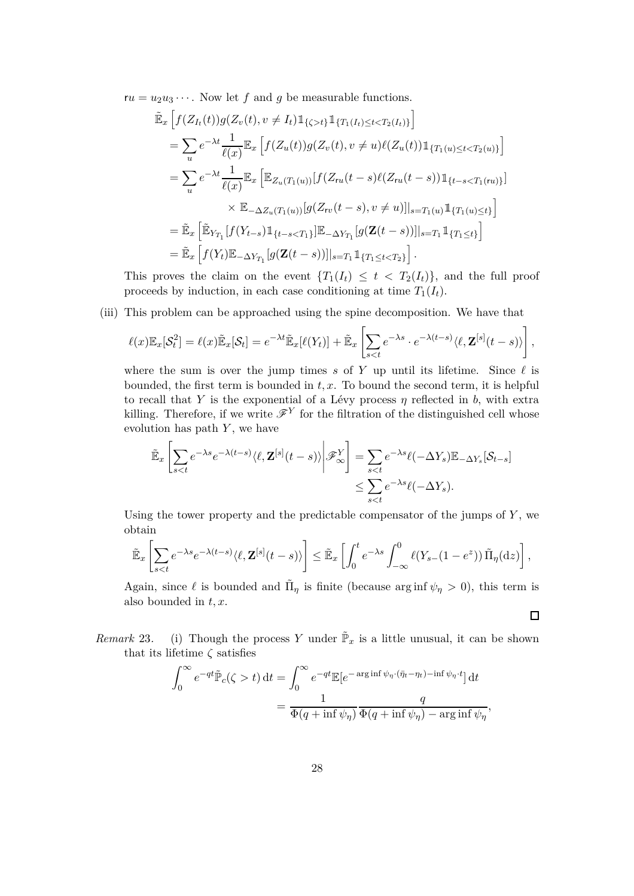$ru = u_2u_3\cdots$ . Now let *f* and *g* be measurable functions.

$$
\tilde{\mathbb{E}}_{x} \left[ f(Z_{I_{t}}(t)) g(Z_{v}(t), v \neq I_{t}) \mathbbm{1}_{\{\zeta > t\}} \mathbbm{1}_{\{T_{1}(I_{t}) \leq t < T_{2}(I_{t})\}} \right]
$$
\n
$$
= \sum_{u} e^{-\lambda t} \frac{1}{\ell(x)} \mathbb{E}_{x} \left[ f(Z_{u}(t)) g(Z_{v}(t), v \neq u) \ell(Z_{u}(t)) \mathbbm{1}_{\{T_{1}(u) \leq t < T_{2}(u)\}} \right]
$$
\n
$$
= \sum_{u} e^{-\lambda t} \frac{1}{\ell(x)} \mathbb{E}_{x} \left[ \mathbb{E}_{Z_{u}(T_{1}(u))} [f(Z_{ru}(t-s) \ell(Z_{ru}(t-s)) \mathbbm{1}_{\{t-s < T_{1}(ru)\}}] \right]
$$
\n
$$
\times \mathbb{E}_{-\Delta Z_{u}(T_{1}(u))} [g(Z_{rv}(t-s), v \neq u)]|_{s=T_{1}(u)} \mathbbm{1}_{\{T_{1}(u) \leq t\}}]
$$
\n
$$
= \tilde{\mathbb{E}}_{x} \left[ \tilde{\mathbb{E}}_{Y_{T_{1}}} [f(Y_{t-s}) \mathbbm{1}_{\{t-s < T_{1}\}}] \mathbb{E}_{-\Delta Y_{T_{1}}} [g(\mathbf{Z}(t-s))]|_{s=T_{1}} \mathbbm{1}_{\{T_{1} \leq t\}} \right]
$$
\n
$$
= \tilde{\mathbb{E}}_{x} \left[ f(Y_{t}) \mathbb{E}_{-\Delta Y_{T_{1}}} [g(\mathbf{Z}(t-s))]|_{s=T_{1}} \mathbbm{1}_{\{T_{1} \leq t < T_{2}\}} \right].
$$

This proves the claim on the event  ${T_1(I_t) \leq t < T_2(I_t)}$ , and the full proof proceeds by induction, in each case conditioning at time  $T_1(I_t)$ .

(iii) This problem can be approached using the spine decomposition. We have that

$$
\ell(x)\mathbb{E}_x[\mathcal{S}_t^2] = \ell(x)\tilde{\mathbb{E}}_x[\mathcal{S}_t] = e^{-\lambda t}\tilde{\mathbb{E}}_x[\ell(Y_t)] + \tilde{\mathbb{E}}_x\left[\sum_{s
$$

where the sum is over the jump times  $s$  of  $Y$  up until its lifetime. Since  $\ell$  is bounded, the first term is bounded in *t, x*. To bound the second term, it is helpful to recall that *Y* is the exponential of a Lévy process  $\eta$  reflected in *b*, with extra killing. Therefore, if we write  $\mathscr{F}^Y$  for the filtration of the distinguished cell whose evolution has path *Y* , we have

$$
\tilde{\mathbb{E}}_x \left[ \sum_{s < t} e^{-\lambda s} e^{-\lambda (t-s)} \langle \ell, \mathbf{Z}^{[s]}(t-s) \rangle \middle| \mathcal{F}_{\infty}^Y \right] = \sum_{s < t} e^{-\lambda s} \ell(-\Delta Y_s) \mathbb{E}_{-\Delta Y_s} [\mathcal{S}_{t-s}]
$$
\n
$$
\leq \sum_{s < t} e^{-\lambda s} \ell(-\Delta Y_s).
$$

Using the tower property and the predictable compensator of the jumps of *Y* , we obtain

$$
\widetilde{\mathbb{E}}_x\left[\sum_{s
$$

Again, since  $\ell$  is bounded and  $\tilde{\Pi}_{\eta}$  is finite (because arg inf  $\psi_{\eta} > 0$ ), this term is also bounded in *t, x*.

 $\Box$ 

*Remark* 23. (i) Though the process *Y* under  $\tilde{\mathbb{P}}_x$  is a little unusual, it can be shown that its lifetime *ζ* satisfies

$$
\int_0^\infty e^{-qt} \tilde{\mathbb{P}}_c(\zeta > t) dt = \int_0^\infty e^{-qt} \mathbb{E}[e^{-\arg\inf \psi_\eta \cdot (\bar{\eta}_t - \eta_t) - \inf \psi_\eta \cdot t}] dt
$$
  
= 
$$
\frac{1}{\Phi(q + \inf \psi_\eta)} \frac{q}{\Phi(q + \inf \psi_\eta) - \arg\inf \psi_\eta},
$$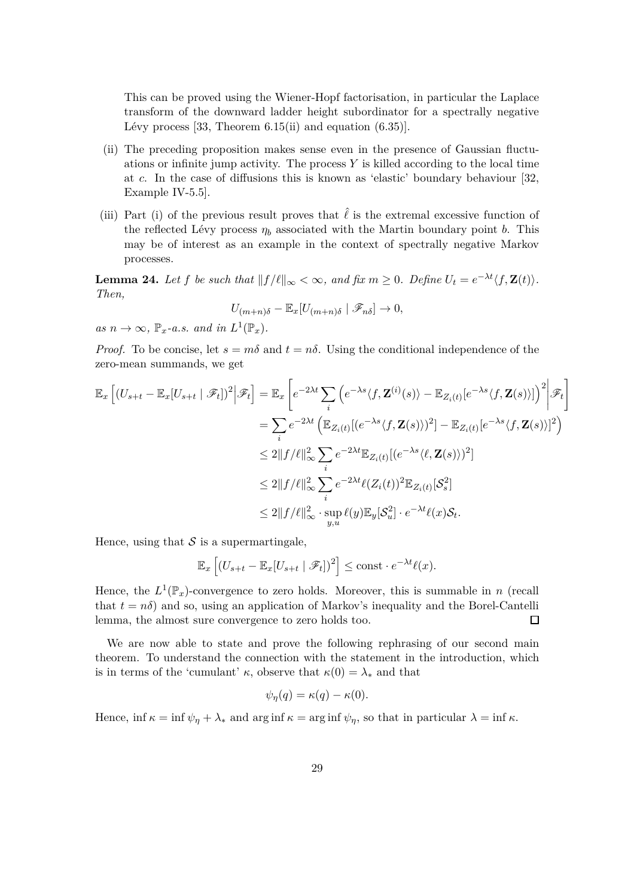This can be proved using the Wiener-Hopf factorisation, in particular the Laplace transform of the downward ladder height subordinator for a spectrally negative Lévy process [33, Theorem  $6.15(i)$  and equation  $(6.35)$ ].

- (ii) The preceding proposition makes sense even in the presence of Gaussian fluctuations or infinite jump activity. The process *Y* is killed according to the local time at *c*. In the case of diffusions this is known as 'elastic' boundary behaviour [32, Example IV-5.5].
- (iii) Part (i) of the previous result proves that  $\hat{\ell}$  is the extremal excessive function of the reflected Lévy process  $\eta_b$  associated with the Martin boundary point *b*. This may be of interest as an example in the context of spectrally negative Markov processes.

**Lemma 24.** Let  $f$  be such that  $||f/\ell||_{\infty} < \infty$ , and fix  $m \geq 0$ . Define  $U_t = e^{-\lambda t} \langle f, \mathbf{Z}(t) \rangle$ . *Then,*

$$
U_{(m+n)\delta} - \mathbb{E}_x[U_{(m+n)\delta} | \mathscr{F}_{n\delta}] \to 0,
$$

 $as n \to \infty$ ,  $\mathbb{P}_x$ -*a.s.* and in  $L^1(\mathbb{P}_x)$ .

*Proof.* To be concise, let  $s = m\delta$  and  $t = n\delta$ . Using the conditional independence of the zero-mean summands, we get

$$
\mathbb{E}_{x}\left[(U_{s+t} - \mathbb{E}_{x}[U_{s+t} | \mathcal{F}_{t}])^{2} | \mathcal{F}_{t}\right] = \mathbb{E}_{x}\left[e^{-2\lambda t} \sum_{i}\left(e^{-\lambda s} \langle f, \mathbf{Z}^{(i)}(s) \rangle - \mathbb{E}_{Z_{i}(t)}[e^{-\lambda s} \langle f, \mathbf{Z}(s) \rangle]\right)^{2} | \mathcal{F}_{t}\right]
$$
\n
$$
= \sum_{i} e^{-2\lambda t} \left(\mathbb{E}_{Z_{i}(t)}[(e^{-\lambda s} \langle f, \mathbf{Z}(s) \rangle)^{2}] - \mathbb{E}_{Z_{i}(t)}[e^{-\lambda s} \langle f, \mathbf{Z}(s) \rangle]^{2}\right)
$$
\n
$$
\leq 2\|f/\ell\|_{\infty}^{2} \sum_{i} e^{-2\lambda t} \mathbb{E}_{Z_{i}(t)}[(e^{-\lambda s} \langle \ell, \mathbf{Z}(s) \rangle)^{2}]
$$
\n
$$
\leq 2\|f/\ell\|_{\infty}^{2} \sum_{i} e^{-2\lambda t} \ell(Z_{i}(t))^{2} \mathbb{E}_{Z_{i}(t)}[S_{s}^{2}]
$$
\n
$$
\leq 2\|f/\ell\|_{\infty}^{2} \cdot \sup_{y,u} \ell(y) \mathbb{E}_{y}[S_{u}^{2}] \cdot e^{-\lambda t} \ell(x) S_{t}.
$$

Hence, using that  $S$  is a supermartingale,

$$
\mathbb{E}_x\left[ (U_{s+t} - \mathbb{E}_x[U_{s+t} | \mathscr{F}_t])^2 \right] \le \text{const} \cdot e^{-\lambda t} \ell(x).
$$

Hence, the  $L^1(\mathbb{P}_x)$ -convergence to zero holds. Moreover, this is summable in *n* (recall that  $t = n\delta$  and so, using an application of Markov's inequality and the Borel-Cantelli lemma, the almost sure convergence to zero holds too.  $\Box$ 

We are now able to state and prove the following rephrasing of our second main theorem. To understand the connection with the statement in the introduction, which is in terms of the 'cumulant'  $\kappa$ , observe that  $\kappa(0) = \lambda_*$  and that

$$
\psi_{\eta}(q) = \kappa(q) - \kappa(0).
$$

Hence, inf  $\kappa = \inf \psi_n + \lambda_*$  and  $\arg \inf \kappa = \arg \inf \psi_n$ , so that in particular  $\lambda = \inf \kappa$ .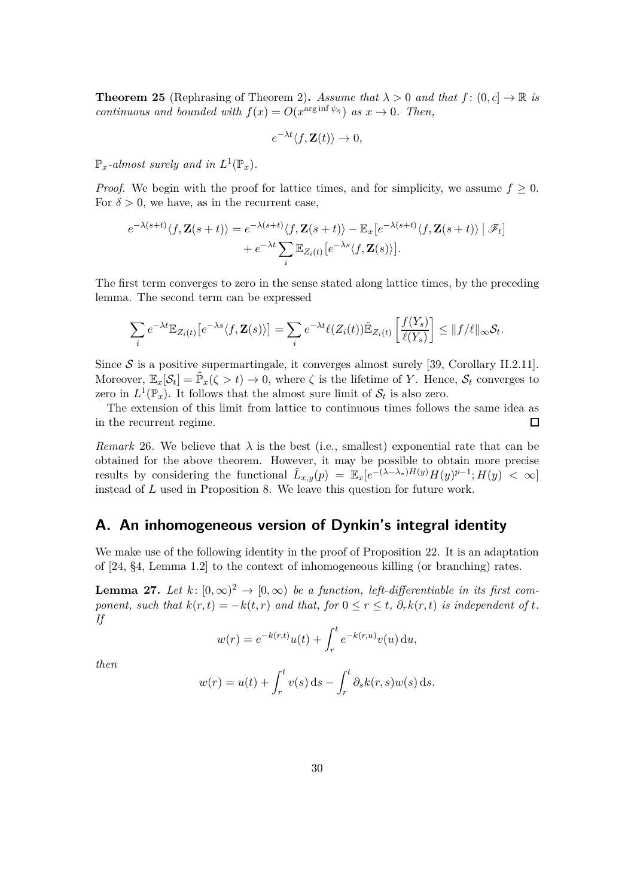**Theorem 25** (Rephrasing of Theorem 2). *Assume that*  $\lambda > 0$  *and that*  $f : (0, c] \to \mathbb{R}$  *is continuous and bounded with*  $f(x) = O(x^{\arg \inf \psi_{\eta}})$  *as*  $x \to 0$ *. Then,* 

$$
e^{-\lambda t}\langle f, \mathbf{Z}(t)\rangle \to 0,
$$

 $\mathbb{P}_x$ -almost surely and in  $L^1(\mathbb{P}_x)$ .

*Proof.* We begin with the proof for lattice times, and for simplicity, we assume  $f \geq 0$ . For  $\delta > 0$ , we have, as in the recurrent case,

$$
e^{-\lambda(s+t)}\langle f, \mathbf{Z}(s+t)\rangle = e^{-\lambda(s+t)}\langle f, \mathbf{Z}(s+t)\rangle - \mathbb{E}_x[e^{-\lambda(s+t)}\langle f, \mathbf{Z}(s+t)\rangle | \mathcal{F}_t]
$$

$$
+ e^{-\lambda t} \sum_i \mathbb{E}_{Z_i(t)}[e^{-\lambda s}\langle f, \mathbf{Z}(s)\rangle].
$$

The first term converges to zero in the sense stated along lattice times, by the preceding lemma. The second term can be expressed

$$
\sum_{i} e^{-\lambda t} \mathbb{E}_{Z_i(t)} \left[ e^{-\lambda s} \langle f, \mathbf{Z}(s) \rangle \right] = \sum_{i} e^{-\lambda t} \ell(Z_i(t)) \tilde{\mathbb{E}}_{Z_i(t)} \left[ \frac{f(Y_s)}{\ell(Y_s)} \right] \leq \| f / \ell \|_{\infty} \mathcal{S}_t.
$$

Since  $S$  is a positive supermartingale, it converges almost surely [39, Corollary II.2.11]. Moreover,  $\mathbb{E}_x[\mathcal{S}_t] = \tilde{\mathbb{P}}_x(\zeta > t) \to 0$ , where  $\zeta$  is the lifetime of *Y*. Hence,  $\mathcal{S}_t$  converges to zero in  $L^1(\mathbb{P}_x)$ . It follows that the almost sure limit of  $\mathcal{S}_t$  is also zero.

The extension of this limit from lattice to continuous times follows the same idea as in the recurrent regime.  $\Box$ 

*Remark* 26. We believe that  $\lambda$  is the best (i.e., smallest) exponential rate that can be obtained for the above theorem. However, it may be possible to obtain more precise results by considering the functional  $\hat{L}_{x,y}(p) = \mathbb{E}_x[e^{-(\lambda-\lambda_*)H(y)}H(y)^{p-1};H(y)| < \infty]$ instead of *L* used in Proposition 8. We leave this question for future work.

## **A. An inhomogeneous version of Dynkin's integral identity**

We make use of the following identity in the proof of Proposition 22. It is an adaptation of [24, §4, Lemma 1.2] to the context of inhomogeneous killing (or branching) rates.

**Lemma 27.** Let  $k: [0, \infty)^2 \to [0, \infty)$  be a function, left-differentiable in its first com*ponent, such that*  $k(r,t) = -k(t,r)$  *and that, for*  $0 \le r \le t$ *,*  $\partial_r k(r,t)$  *is independent of t. If*

$$
w(r) = e^{-k(r,t)}u(t) + \int_r^t e^{-k(r,u)}v(u) \, \mathrm{d}u,
$$

*then*

$$
w(r) = u(t) + \int_r^t v(s) \,ds - \int_r^t \partial_s k(r,s)w(s) \,ds.
$$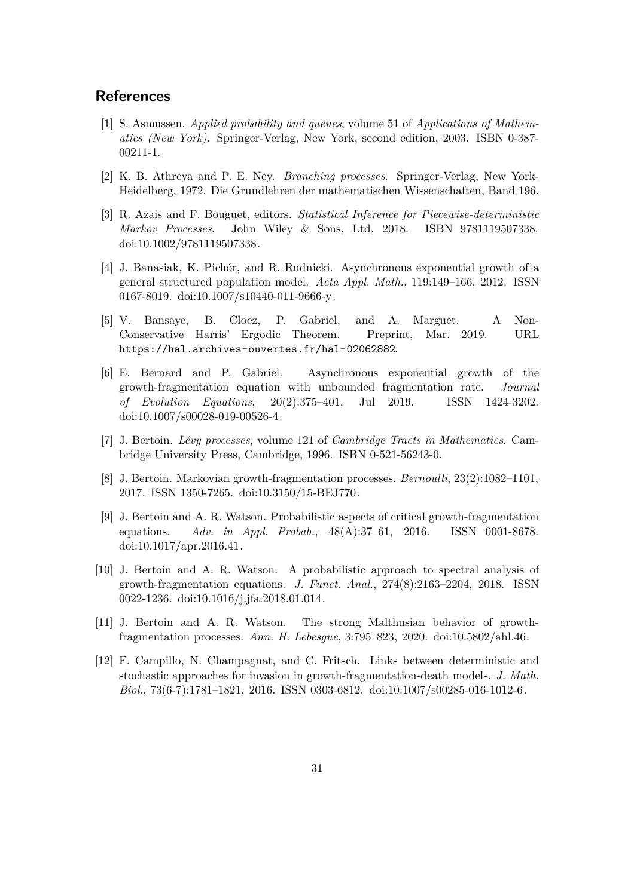## **References**

- [1] S. Asmussen. *Applied probability and queues*, volume 51 of *Applications of Mathematics (New York)*. Springer-Verlag, New York, second edition, 2003. ISBN 0-387- 00211-1.
- [2] K. B. Athreya and P. E. Ney. *Branching processes*. Springer-Verlag, New York-Heidelberg, 1972. Die Grundlehren der mathematischen Wissenschaften, Band 196.
- [3] R. Azais and F. Bouguet, editors. *Statistical Inference for Piecewise-deterministic Markov Processes*. John Wiley & Sons, Ltd, 2018. ISBN 9781119507338. doi[:10.1002/9781119507338.](https://doi.org/10.1002/9781119507338)
- [4] J. Banasiak, K. Pichór, and R. Rudnicki. Asynchronous exponential growth of a general structured population model. *Acta Appl. Math.*, 119:149–166, 2012. ISSN 0167-8019. doi[:10.1007/s10440-011-9666-y.](https://doi.org/10.1007/s10440-011-9666-y)
- [5] V. Bansaye, B. Cloez, P. Gabriel, and A. Marguet. A Non-Conservative Harris' Ergodic Theorem. Preprint, Mar. 2019. URL <https://hal.archives-ouvertes.fr/hal-02062882>.
- [6] E. Bernard and P. Gabriel. Asynchronous exponential growth of the growth-fragmentation equation with unbounded fragmentation rate. *Journal of Evolution Equations*, 20(2):375–401, Jul 2019. ISSN 1424-3202. doi[:10.1007/s00028-019-00526-4.](https://doi.org/10.1007/s00028-019-00526-4)
- [7] J. Bertoin. *Lévy processes*, volume 121 of *Cambridge Tracts in Mathematics*. Cambridge University Press, Cambridge, 1996. ISBN 0-521-56243-0.
- [8] J. Bertoin. Markovian growth-fragmentation processes. *Bernoulli*, 23(2):1082–1101, 2017. ISSN 1350-7265. doi[:10.3150/15-BEJ770.](https://doi.org/10.3150/15-BEJ770)
- [9] J. Bertoin and A. R. Watson. Probabilistic aspects of critical growth-fragmentation equations. *Adv. in Appl. Probab.*, 48(A):37–61, 2016. ISSN 0001-8678. doi[:10.1017/apr.2016.41.](https://doi.org/10.1017/apr.2016.41)
- [10] J. Bertoin and A. R. Watson. A probabilistic approach to spectral analysis of growth-fragmentation equations. *J. Funct. Anal.*, 274(8):2163–2204, 2018. ISSN 0022-1236. doi[:10.1016/j.jfa.2018.01.014.](https://doi.org/10.1016/j.jfa.2018.01.014)
- [11] J. Bertoin and A. R. Watson. The strong Malthusian behavior of growthfragmentation processes. *Ann. H. Lebesgue*, 3:795–823, 2020. doi[:10.5802/ahl.46.](https://doi.org/10.5802/ahl.46)
- [12] F. Campillo, N. Champagnat, and C. Fritsch. Links between deterministic and stochastic approaches for invasion in growth-fragmentation-death models. *J. Math. Biol.*, 73(6-7):1781–1821, 2016. ISSN 0303-6812. doi[:10.1007/s00285-016-1012-6.](https://doi.org/10.1007/s00285-016-1012-6)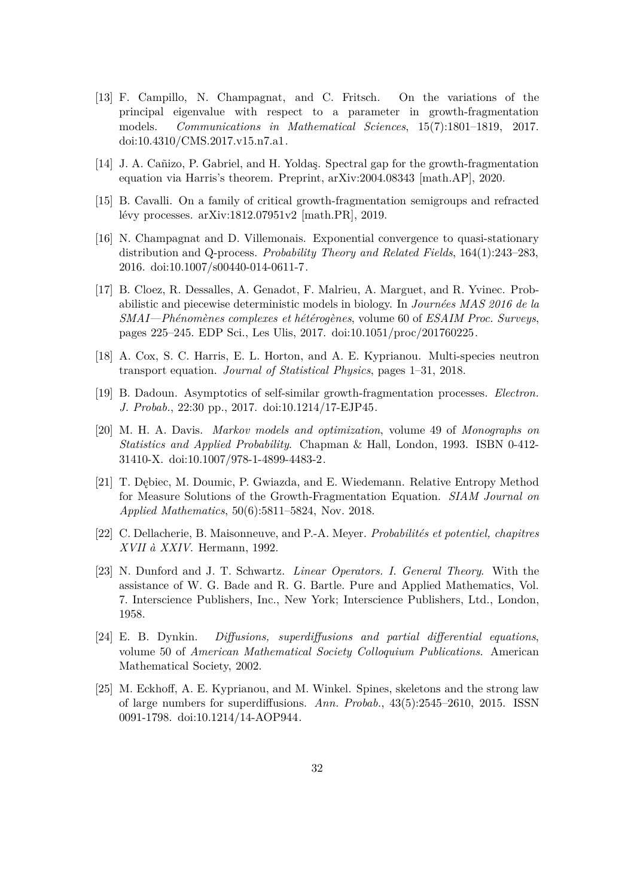- [13] F. Campillo, N. Champagnat, and C. Fritsch. On the variations of the principal eigenvalue with respect to a parameter in growth-fragmentation models. *Communications in Mathematical Sciences*, 15(7):1801–1819, 2017. doi[:10.4310/CMS.2017.v15.n7.a1.](https://doi.org/10.4310/CMS.2017.v15.n7.a1)
- [14] J. A. Cañizo, P. Gabriel, and H. Yoldaş. Spectral gap for the growth-fragmentation equation via Harris's theorem. Preprint, [arXiv:2004.08343](http://arxiv.org/abs/2004.08343) [math.AP], 2020.
- [15] B. Cavalli. On a family of critical growth-fragmentation semigroups and refracted lévy processes. [arXiv:1812.07951v2 \[math.PR\],](http://arxiv.org/abs/1812.07951v2) 2019.
- [16] N. Champagnat and D. Villemonais. Exponential convergence to quasi-stationary distribution and Q-process. *Probability Theory and Related Fields*, 164(1):243–283, 2016. doi[:10.1007/s00440-014-0611-7.](https://doi.org/10.1007/s00440-014-0611-7)
- [17] B. Cloez, R. Dessalles, A. Genadot, F. Malrieu, A. Marguet, and R. Yvinec. Probabilistic and piecewise deterministic models in biology. In *Journées MAS 2016 de la SMAI—Phénomènes complexes et hétérogènes*, volume 60 of *ESAIM Proc. Surveys*, pages 225–245. EDP Sci., Les Ulis, 2017. doi[:10.1051/proc/201760225.](https://doi.org/10.1051/proc/201760225)
- [18] A. Cox, S. C. Harris, E. L. Horton, and A. E. Kyprianou. Multi-species neutron transport equation. *Journal of Statistical Physics*, pages 1–31, 2018.
- [19] B. Dadoun. Asymptotics of self-similar growth-fragmentation processes. *Electron. J. Probab.*, 22:30 pp., 2017. doi[:10.1214/17-EJP45.](https://doi.org/10.1214/17-EJP45)
- [20] M. H. A. Davis. *Markov models and optimization*, volume 49 of *Monographs on Statistics and Applied Probability*. Chapman & Hall, London, 1993. ISBN 0-412- 31410-X. doi[:10.1007/978-1-4899-4483-2.](https://doi.org/10.1007/978-1-4899-4483-2)
- [21] T. Dębiec, M. Doumic, P. Gwiazda, and E. Wiedemann. Relative Entropy Method for Measure Solutions of the Growth-Fragmentation Equation. *SIAM Journal on Applied Mathematics*, 50(6):5811–5824, Nov. 2018.
- [22] C. Dellacherie, B. Maisonneuve, and P.-A. Meyer. *Probabilités et potentiel, chapitres XVII à XXIV*. Hermann, 1992.
- [23] N. Dunford and J. T. Schwartz. *Linear Operators. I. General Theory*. With the assistance of W. G. Bade and R. G. Bartle. Pure and Applied Mathematics, Vol. 7. Interscience Publishers, Inc., New York; Interscience Publishers, Ltd., London, 1958.
- [24] E. B. Dynkin. *Diffusions, superdiffusions and partial differential equations*, volume 50 of *American Mathematical Society Colloquium Publications*. American Mathematical Society, 2002.
- [25] M. Eckhoff, A. E. Kyprianou, and M. Winkel. Spines, skeletons and the strong law of large numbers for superdiffusions. *Ann. Probab.*, 43(5):2545–2610, 2015. ISSN 0091-1798. doi[:10.1214/14-AOP944.](https://doi.org/10.1214/14-AOP944)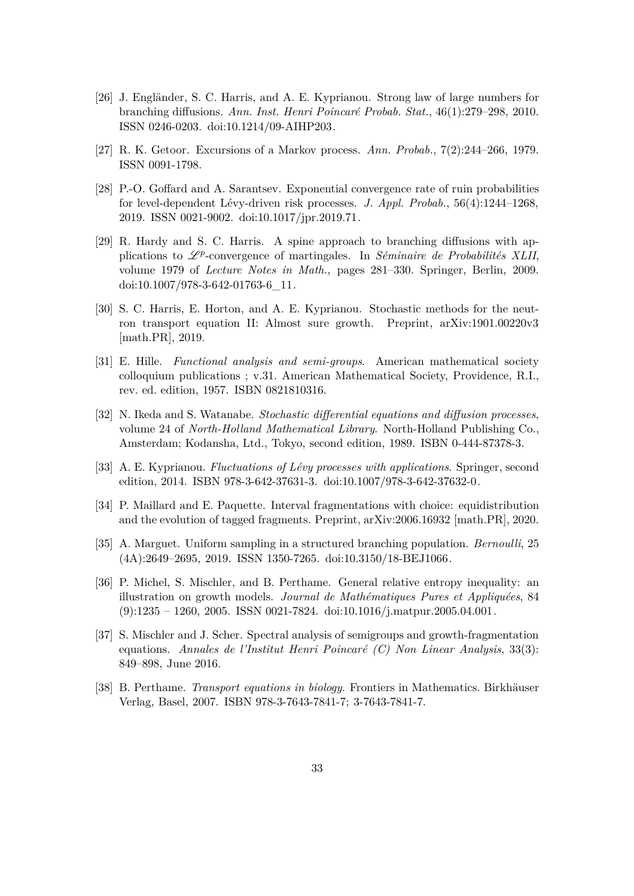- [26] J. Engländer, S. C. Harris, and A. E. Kyprianou. Strong law of large numbers for branching diffusions. *Ann. Inst. Henri Poincaré Probab. Stat.*, 46(1):279–298, 2010. ISSN 0246-0203. doi[:10.1214/09-AIHP203.](https://doi.org/10.1214/09-AIHP203)
- [27] R. K. Getoor. Excursions of a Markov process. *Ann. Probab.*, 7(2):244–266, 1979. ISSN 0091-1798.
- [28] P.-O. Goffard and A. Sarantsev. Exponential convergence rate of ruin probabilities for level-dependent Lévy-driven risk processes. *J. Appl. Probab.*, 56(4):1244–1268, 2019. ISSN 0021-9002. doi[:10.1017/jpr.2019.71.](https://doi.org/10.1017/jpr.2019.71)
- [29] R. Hardy and S. C. Harris. A spine approach to branching diffusions with applications to  $\mathscr{L}^p$ -convergence of martingales. In *Séminaire de Probabilités XLII*, volume 1979 of *Lecture Notes in Math.*, pages 281–330. Springer, Berlin, 2009. doi[:10.1007/978-3-642-01763-6\\_11.](https://doi.org/10.1007/978-3-642-01763-6_11)
- [30] S. C. Harris, E. Horton, and A. E. Kyprianou. Stochastic methods for the neutron transport equation II: Almost sure growth. Preprint, [arXiv:1901.00220v3](http://arxiv.org/abs/1901.00220v3) [math.PR], 2019.
- [31] E. Hille. *Functional analysis and semi-groups*. American mathematical society colloquium publications ; v.31. American Mathematical Society, Providence, R.I., rev. ed. edition, 1957. ISBN 0821810316.
- [32] N. Ikeda and S. Watanabe. *Stochastic differential equations and diffusion processes*, volume 24 of *North-Holland Mathematical Library*. North-Holland Publishing Co., Amsterdam; Kodansha, Ltd., Tokyo, second edition, 1989. ISBN 0-444-87378-3.
- [33] A. E. Kyprianou. *Fluctuations of Lévy processes with applications*. Springer, second edition, 2014. ISBN 978-3-642-37631-3. doi[:10.1007/978-3-642-37632-0.](https://doi.org/10.1007/978-3-642-37632-0)
- [34] P. Maillard and E. Paquette. Interval fragmentations with choice: equidistribution and the evolution of tagged fragments. Preprint, [arXiv:2006.16932](http://arxiv.org/abs/2006.16932) [math.PR], 2020.
- [35] A. Marguet. Uniform sampling in a structured branching population. *Bernoulli*, 25 (4A):2649–2695, 2019. ISSN 1350-7265. doi[:10.3150/18-BEJ1066.](https://doi.org/10.3150/18-BEJ1066)
- [36] P. Michel, S. Mischler, and B. Perthame. General relative entropy inequality: an illustration on growth models. *Journal de Mathématiques Pures et Appliquées*, 84  $(9):1235 - 1260, 2005$ . ISSN 0021-7824. doi[:10.1016/j.matpur.2005.04.001.](https://doi.org/10.1016/j.matpur.2005.04.001)
- [37] S. Mischler and J. Scher. Spectral analysis of semigroups and growth-fragmentation equations. *Annales de l'Institut Henri Poincaré (C) Non Linear Analysis*, 33(3): 849–898, June 2016.
- [38] B. Perthame. *Transport equations in biology*. Frontiers in Mathematics. Birkhäuser Verlag, Basel, 2007. ISBN 978-3-7643-7841-7; 3-7643-7841-7.